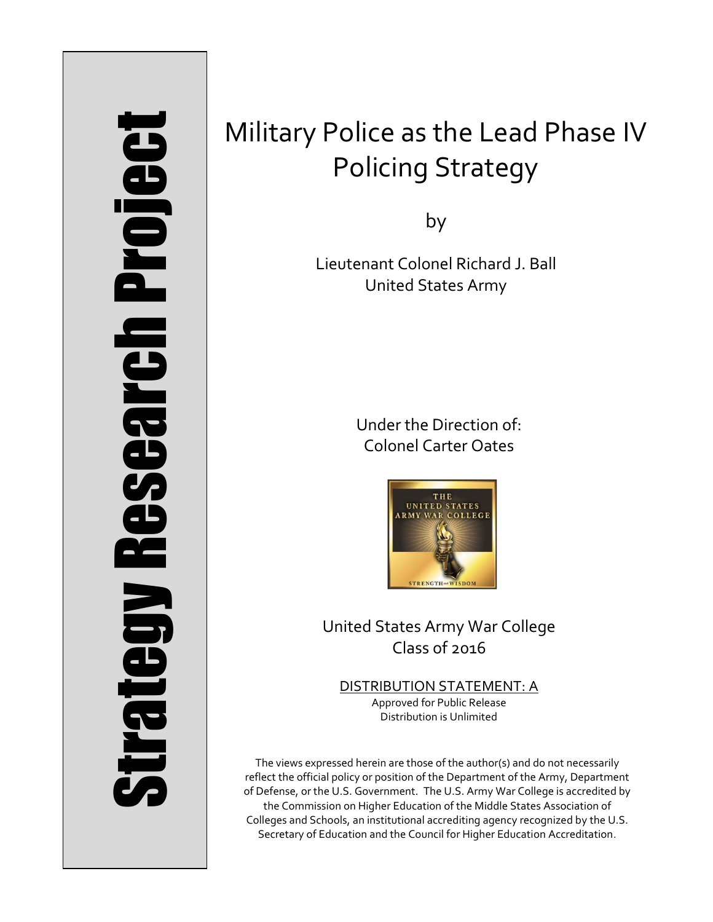# Strategy Research Project **Strategy Research Project**

# Military Police as the Lead Phase IV Policing Strategy

by

Lieutenant Colonel Richard J. Ball United States Army

> Under the Direction of: Colonel Carter Oates



United States Army War College Class of 2016

DISTRIBUTION STATEMENT: A Approved for Public Release Distribution is Unlimited

The views expressed herein are those of the author(s) and do not necessarily reflect the official policy or position of the Department of the Army, Department of Defense, or the U.S. Government. The U.S. Army War College is accredited by the Commission on Higher Education of the Middle States Association of Colleges and Schools, an institutional accrediting agency recognized by the U.S. Secretary of Education and the Council for Higher Education Accreditation.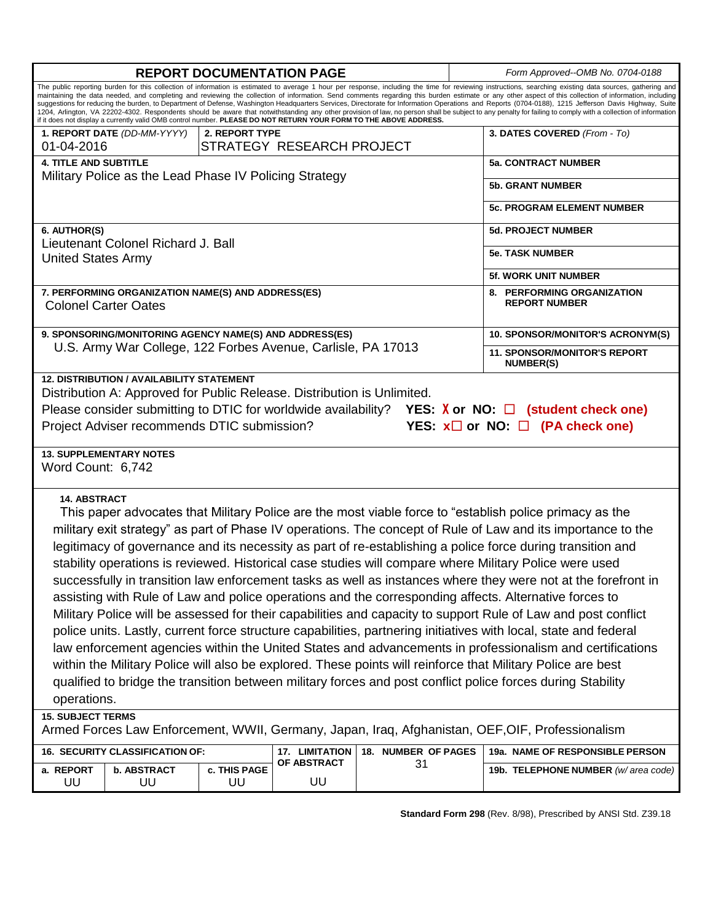| <b>REPORT DOCUMENTATION PAGE</b>                                                                                                                                                                                                                                                                                                                                                                                                                                                                                                                                                                                                                                                                                                                                                                                                                                                                                                                                                                                                                                                                                                                                                                                                                                                               |                                 |                           |                     |    |                                 | Form Approved--OMB No. 0704-0188                        |  |
|------------------------------------------------------------------------------------------------------------------------------------------------------------------------------------------------------------------------------------------------------------------------------------------------------------------------------------------------------------------------------------------------------------------------------------------------------------------------------------------------------------------------------------------------------------------------------------------------------------------------------------------------------------------------------------------------------------------------------------------------------------------------------------------------------------------------------------------------------------------------------------------------------------------------------------------------------------------------------------------------------------------------------------------------------------------------------------------------------------------------------------------------------------------------------------------------------------------------------------------------------------------------------------------------|---------------------------------|---------------------------|---------------------|----|---------------------------------|---------------------------------------------------------|--|
| The public reporting burden for this collection of information is estimated to average 1 hour per response, including the time for reviewing instructions, searching existing data sources, gathering and<br>maintaining the data needed, and completing and reviewing the collection of information. Send comments regarding this burden estimate or any other aspect of this collection of information, including<br>suggestions for reducing the burden, to Department of Defense, Washington Headquarters Services, Directorate for Information Operations and Reports (0704-0188), 1215 Jefferson Davis Highway, Suite<br>1204, Arlington, VA 22202-4302. Respondents should be aware that notwithstanding any other provision of law, no person shall be subject to any penalty for failing to comply with a collection of information<br>if it does not display a currently valid OMB control number. PLEASE DO NOT RETURN YOUR FORM TO THE ABOVE ADDRESS.                                                                                                                                                                                                                                                                                                                              |                                 |                           |                     |    |                                 |                                                         |  |
|                                                                                                                                                                                                                                                                                                                                                                                                                                                                                                                                                                                                                                                                                                                                                                                                                                                                                                                                                                                                                                                                                                                                                                                                                                                                                                | 1. REPORT DATE (DD-MM-YYYY)     | 2. REPORT TYPE            |                     |    |                                 | 3. DATES COVERED (From - To)                            |  |
| 01-04-2016                                                                                                                                                                                                                                                                                                                                                                                                                                                                                                                                                                                                                                                                                                                                                                                                                                                                                                                                                                                                                                                                                                                                                                                                                                                                                     |                                 | STRATEGY RESEARCH PROJECT |                     |    |                                 |                                                         |  |
| <b>4. TITLE AND SUBTITLE</b>                                                                                                                                                                                                                                                                                                                                                                                                                                                                                                                                                                                                                                                                                                                                                                                                                                                                                                                                                                                                                                                                                                                                                                                                                                                                   |                                 |                           |                     |    |                                 | <b>5a. CONTRACT NUMBER</b>                              |  |
| Military Police as the Lead Phase IV Policing Strategy                                                                                                                                                                                                                                                                                                                                                                                                                                                                                                                                                                                                                                                                                                                                                                                                                                                                                                                                                                                                                                                                                                                                                                                                                                         |                                 |                           |                     |    |                                 | <b>5b. GRANT NUMBER</b>                                 |  |
|                                                                                                                                                                                                                                                                                                                                                                                                                                                                                                                                                                                                                                                                                                                                                                                                                                                                                                                                                                                                                                                                                                                                                                                                                                                                                                |                                 |                           |                     |    |                                 | <b>5c. PROGRAM ELEMENT NUMBER</b>                       |  |
| 6. AUTHOR(S)                                                                                                                                                                                                                                                                                                                                                                                                                                                                                                                                                                                                                                                                                                                                                                                                                                                                                                                                                                                                                                                                                                                                                                                                                                                                                   |                                 |                           |                     |    |                                 | <b>5d. PROJECT NUMBER</b>                               |  |
| Lieutenant Colonel Richard J. Ball<br><b>United States Army</b>                                                                                                                                                                                                                                                                                                                                                                                                                                                                                                                                                                                                                                                                                                                                                                                                                                                                                                                                                                                                                                                                                                                                                                                                                                |                                 |                           |                     |    |                                 | <b>5e. TASK NUMBER</b>                                  |  |
|                                                                                                                                                                                                                                                                                                                                                                                                                                                                                                                                                                                                                                                                                                                                                                                                                                                                                                                                                                                                                                                                                                                                                                                                                                                                                                |                                 |                           |                     |    |                                 | <b>5f. WORK UNIT NUMBER</b>                             |  |
| 7. PERFORMING ORGANIZATION NAME(S) AND ADDRESS(ES)<br><b>Colonel Carter Oates</b>                                                                                                                                                                                                                                                                                                                                                                                                                                                                                                                                                                                                                                                                                                                                                                                                                                                                                                                                                                                                                                                                                                                                                                                                              |                                 |                           |                     |    |                                 | 8. PERFORMING ORGANIZATION<br><b>REPORT NUMBER</b>      |  |
| 9. SPONSORING/MONITORING AGENCY NAME(S) AND ADDRESS(ES)<br>U.S. Army War College, 122 Forbes Avenue, Carlisle, PA 17013                                                                                                                                                                                                                                                                                                                                                                                                                                                                                                                                                                                                                                                                                                                                                                                                                                                                                                                                                                                                                                                                                                                                                                        |                                 |                           |                     |    |                                 | 10. SPONSOR/MONITOR'S ACRONYM(S)                        |  |
|                                                                                                                                                                                                                                                                                                                                                                                                                                                                                                                                                                                                                                                                                                                                                                                                                                                                                                                                                                                                                                                                                                                                                                                                                                                                                                |                                 |                           |                     |    |                                 | <b>11. SPONSOR/MONITOR'S REPORT</b><br><b>NUMBER(S)</b> |  |
| Distribution A: Approved for Public Release. Distribution is Unlimited.<br>Please consider submitting to DTIC for worldwide availability? YES: $X$ or NO: $\Box$ (student check one)<br>Project Adviser recommends DTIC submission?<br>YES: $x \square$ or NO: $\square$ (PA check one)                                                                                                                                                                                                                                                                                                                                                                                                                                                                                                                                                                                                                                                                                                                                                                                                                                                                                                                                                                                                        |                                 |                           |                     |    |                                 |                                                         |  |
| <b>13. SUPPLEMENTARY NOTES</b><br>Word Count: 6,742                                                                                                                                                                                                                                                                                                                                                                                                                                                                                                                                                                                                                                                                                                                                                                                                                                                                                                                                                                                                                                                                                                                                                                                                                                            |                                 |                           |                     |    |                                 |                                                         |  |
| <b>14. ABSTRACT</b><br>This paper advocates that Military Police are the most viable force to "establish police primacy as the<br>military exit strategy" as part of Phase IV operations. The concept of Rule of Law and its importance to the<br>legitimacy of governance and its necessity as part of re-establishing a police force during transition and<br>stability operations is reviewed. Historical case studies will compare where Military Police were used<br>successfully in transition law enforcement tasks as well as instances where they were not at the forefront in<br>assisting with Rule of Law and police operations and the corresponding affects. Alternative forces to<br>Military Police will be assessed for their capabilities and capacity to support Rule of Law and post conflict<br>police units. Lastly, current force structure capabilities, partnering initiatives with local, state and federal<br>law enforcement agencies within the United States and advancements in professionalism and certifications<br>within the Military Police will also be explored. These points will reinforce that Military Police are best<br>qualified to bridge the transition between military forces and post conflict police forces during Stability<br>operations. |                                 |                           |                     |    |                                 |                                                         |  |
| <b>15. SUBJECT TERMS</b><br>Armed Forces Law Enforcement, WWII, Germany, Japan, Iraq, Afghanistan, OEF,OIF, Professionalism                                                                                                                                                                                                                                                                                                                                                                                                                                                                                                                                                                                                                                                                                                                                                                                                                                                                                                                                                                                                                                                                                                                                                                    |                                 |                           |                     |    |                                 |                                                         |  |
|                                                                                                                                                                                                                                                                                                                                                                                                                                                                                                                                                                                                                                                                                                                                                                                                                                                                                                                                                                                                                                                                                                                                                                                                                                                                                                | 16. SECURITY CLASSIFICATION OF: | 17. LIMITATION            | 18. NUMBER OF PAGES |    | 19a. NAME OF RESPONSIBLE PERSON |                                                         |  |
| a. REPORT<br>UU                                                                                                                                                                                                                                                                                                                                                                                                                                                                                                                                                                                                                                                                                                                                                                                                                                                                                                                                                                                                                                                                                                                                                                                                                                                                                | <b>b. ABSTRACT</b><br>UU        | c. THIS PAGE<br>UU        | OF ABSTRACT<br>UU   | 31 |                                 | 19b. TELEPHONE NUMBER (w/area code)                     |  |

**Standard Form 298** (Rev. 8/98), Prescribed by ANSI Std. Z39.18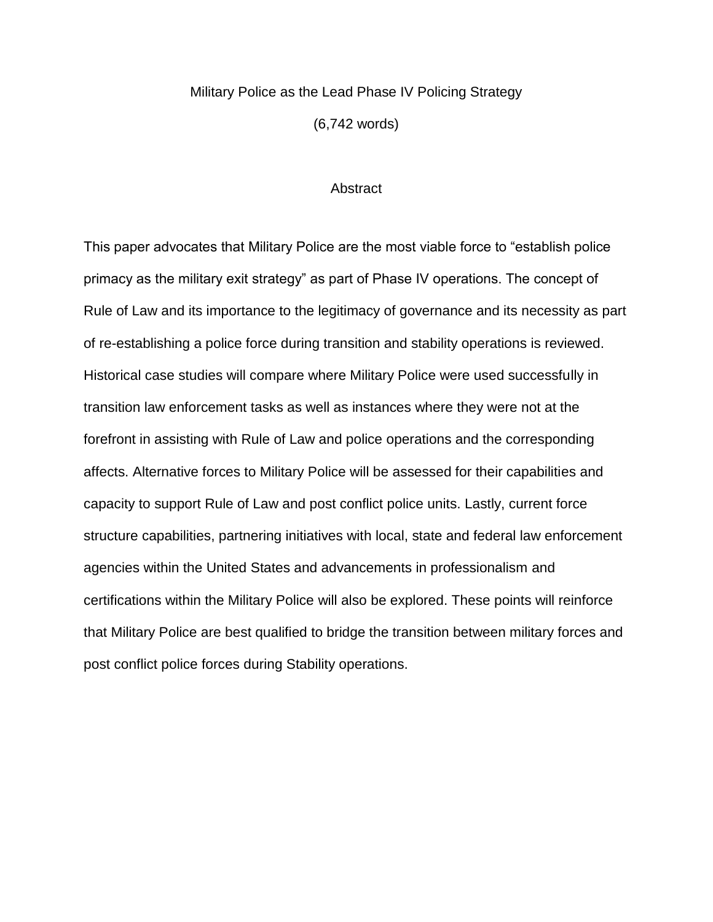### Military Police as the Lead Phase IV Policing Strategy

(6,742 words)

### **Abstract**

This paper advocates that Military Police are the most viable force to "establish police primacy as the military exit strategy" as part of Phase IV operations. The concept of Rule of Law and its importance to the legitimacy of governance and its necessity as part of re-establishing a police force during transition and stability operations is reviewed. Historical case studies will compare where Military Police were used successfully in transition law enforcement tasks as well as instances where they were not at the forefront in assisting with Rule of Law and police operations and the corresponding affects. Alternative forces to Military Police will be assessed for their capabilities and capacity to support Rule of Law and post conflict police units. Lastly, current force structure capabilities, partnering initiatives with local, state and federal law enforcement agencies within the United States and advancements in professionalism and certifications within the Military Police will also be explored. These points will reinforce that Military Police are best qualified to bridge the transition between military forces and post conflict police forces during Stability operations.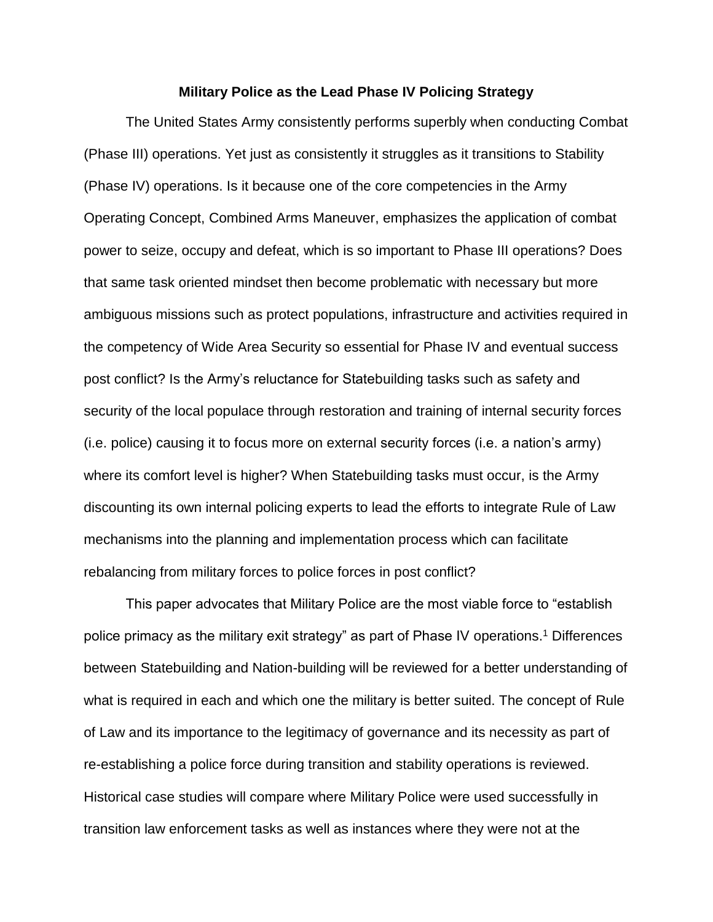## **Military Police as the Lead Phase IV Policing Strategy**

The United States Army consistently performs superbly when conducting Combat (Phase III) operations. Yet just as consistently it struggles as it transitions to Stability (Phase IV) operations. Is it because one of the core competencies in the Army Operating Concept, Combined Arms Maneuver, emphasizes the application of combat power to seize, occupy and defeat, which is so important to Phase III operations? Does that same task oriented mindset then become problematic with necessary but more ambiguous missions such as protect populations, infrastructure and activities required in the competency of Wide Area Security so essential for Phase IV and eventual success post conflict? Is the Army's reluctance for Statebuilding tasks such as safety and security of the local populace through restoration and training of internal security forces (i.e. police) causing it to focus more on external security forces (i.e. a nation's army) where its comfort level is higher? When Statebuilding tasks must occur, is the Army discounting its own internal policing experts to lead the efforts to integrate Rule of Law mechanisms into the planning and implementation process which can facilitate rebalancing from military forces to police forces in post conflict?

This paper advocates that Military Police are the most viable force to "establish police primacy as the military exit strategy" as part of Phase IV operations.<sup>1</sup> Differences between Statebuilding and Nation-building will be reviewed for a better understanding of what is required in each and which one the military is better suited. The concept of Rule of Law and its importance to the legitimacy of governance and its necessity as part of re-establishing a police force during transition and stability operations is reviewed. Historical case studies will compare where Military Police were used successfully in transition law enforcement tasks as well as instances where they were not at the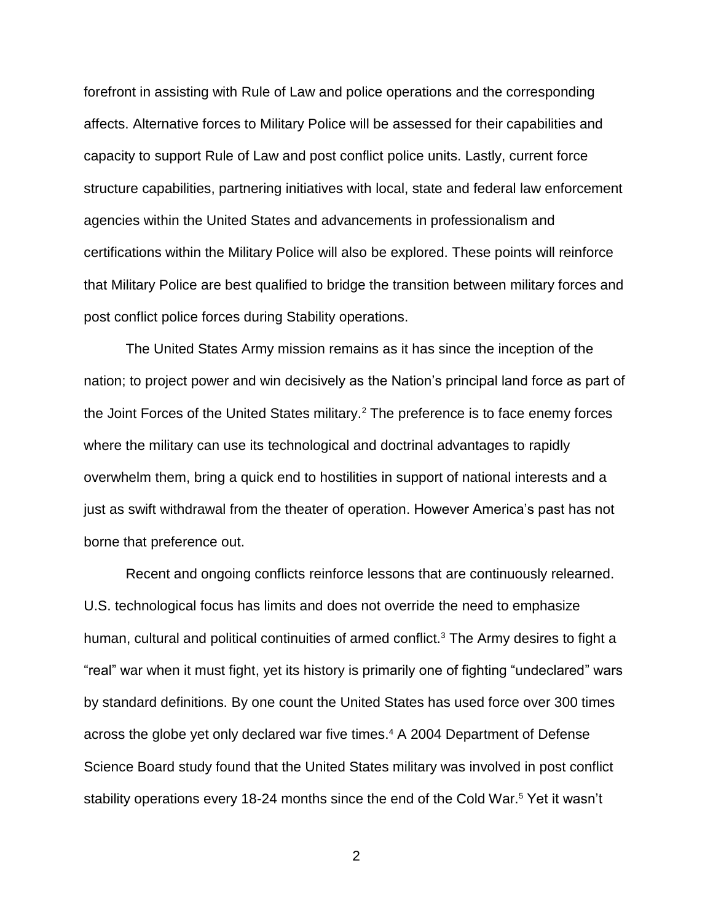forefront in assisting with Rule of Law and police operations and the corresponding affects. Alternative forces to Military Police will be assessed for their capabilities and capacity to support Rule of Law and post conflict police units. Lastly, current force structure capabilities, partnering initiatives with local, state and federal law enforcement agencies within the United States and advancements in professionalism and certifications within the Military Police will also be explored. These points will reinforce that Military Police are best qualified to bridge the transition between military forces and post conflict police forces during Stability operations.

The United States Army mission remains as it has since the inception of the nation; to project power and win decisively as the Nation's principal land force as part of the Joint Forces of the United States military.<sup>2</sup> The preference is to face enemy forces where the military can use its technological and doctrinal advantages to rapidly overwhelm them, bring a quick end to hostilities in support of national interests and a just as swift withdrawal from the theater of operation. However America's past has not borne that preference out.

Recent and ongoing conflicts reinforce lessons that are continuously relearned. U.S. technological focus has limits and does not override the need to emphasize human, cultural and political continuities of armed conflict.<sup>3</sup> The Army desires to fight a "real" war when it must fight, yet its history is primarily one of fighting "undeclared" wars by standard definitions. By one count the United States has used force over 300 times across the globe yet only declared war five times.<sup>4</sup> A 2004 Department of Defense Science Board study found that the United States military was involved in post conflict stability operations every 18-24 months since the end of the Cold War.<sup>5</sup> Yet it wasn't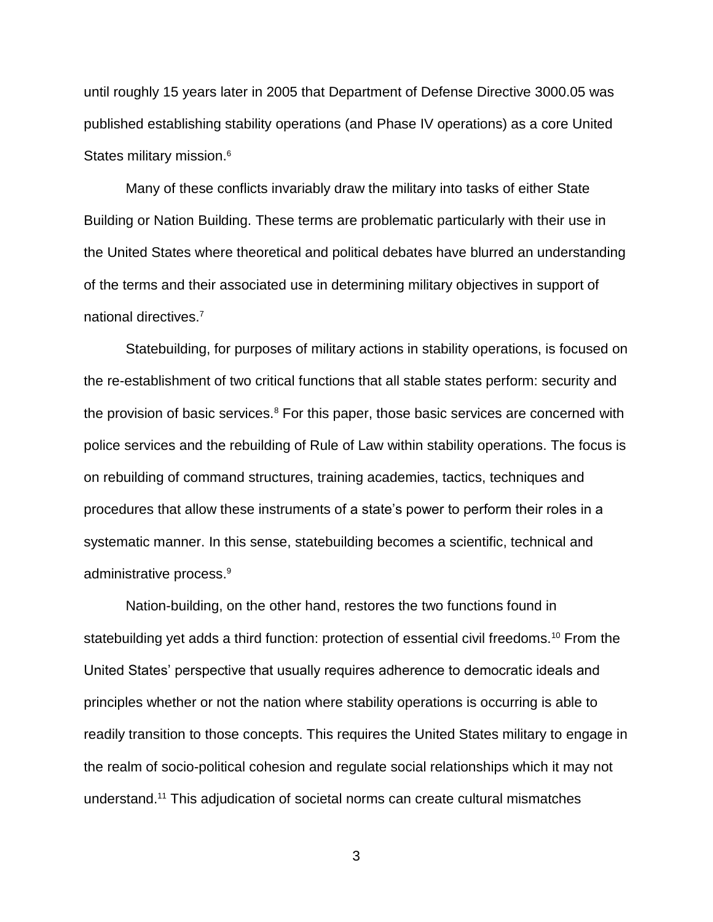until roughly 15 years later in 2005 that Department of Defense Directive 3000.05 was published establishing stability operations (and Phase IV operations) as a core United States military mission.<sup>6</sup>

Many of these conflicts invariably draw the military into tasks of either State Building or Nation Building. These terms are problematic particularly with their use in the United States where theoretical and political debates have blurred an understanding of the terms and their associated use in determining military objectives in support of national directives.<sup>7</sup>

Statebuilding, for purposes of military actions in stability operations, is focused on the re-establishment of two critical functions that all stable states perform: security and the provision of basic services.<sup>8</sup> For this paper, those basic services are concerned with police services and the rebuilding of Rule of Law within stability operations. The focus is on rebuilding of command structures, training academies, tactics, techniques and procedures that allow these instruments of a state's power to perform their roles in a systematic manner. In this sense, statebuilding becomes a scientific, technical and administrative process.<sup>9</sup>

Nation-building, on the other hand, restores the two functions found in statebuilding yet adds a third function: protection of essential civil freedoms.<sup>10</sup> From the United States' perspective that usually requires adherence to democratic ideals and principles whether or not the nation where stability operations is occurring is able to readily transition to those concepts. This requires the United States military to engage in the realm of socio-political cohesion and regulate social relationships which it may not understand.<sup>11</sup> This adjudication of societal norms can create cultural mismatches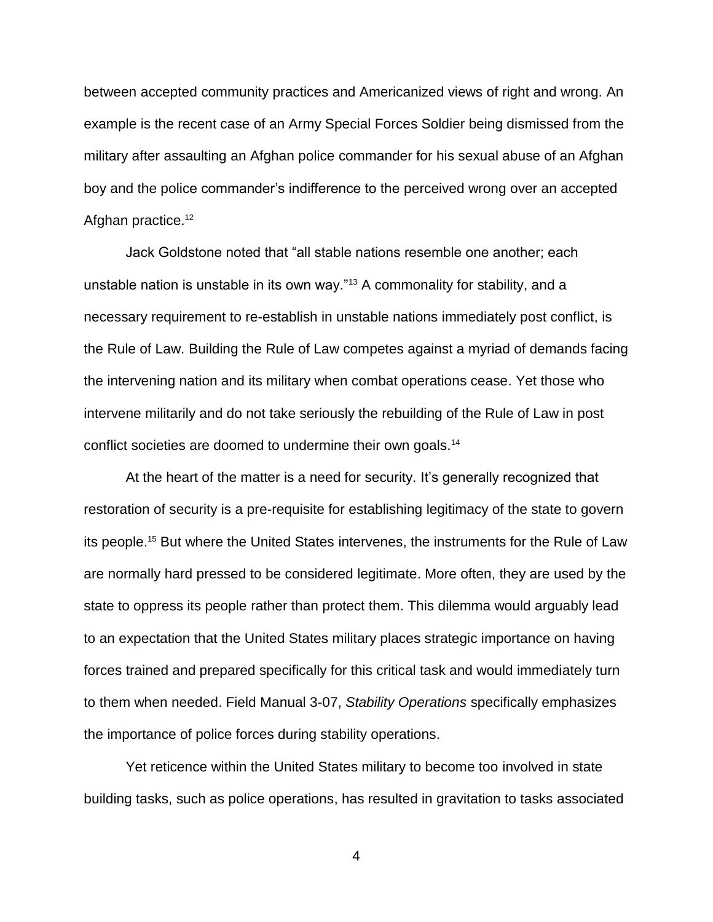between accepted community practices and Americanized views of right and wrong. An example is the recent case of an Army Special Forces Soldier being dismissed from the military after assaulting an Afghan police commander for his sexual abuse of an Afghan boy and the police commander's indifference to the perceived wrong over an accepted Afghan practice.<sup>12</sup>

Jack Goldstone noted that "all stable nations resemble one another; each unstable nation is unstable in its own way."<sup>13</sup> A commonality for stability, and a necessary requirement to re-establish in unstable nations immediately post conflict, is the Rule of Law. Building the Rule of Law competes against a myriad of demands facing the intervening nation and its military when combat operations cease. Yet those who intervene militarily and do not take seriously the rebuilding of the Rule of Law in post conflict societies are doomed to undermine their own goals.<sup>14</sup>

At the heart of the matter is a need for security. It's generally recognized that restoration of security is a pre-requisite for establishing legitimacy of the state to govern its people.<sup>15</sup> But where the United States intervenes, the instruments for the Rule of Law are normally hard pressed to be considered legitimate. More often, they are used by the state to oppress its people rather than protect them. This dilemma would arguably lead to an expectation that the United States military places strategic importance on having forces trained and prepared specifically for this critical task and would immediately turn to them when needed. Field Manual 3-07, *Stability Operations* specifically emphasizes the importance of police forces during stability operations.

Yet reticence within the United States military to become too involved in state building tasks, such as police operations, has resulted in gravitation to tasks associated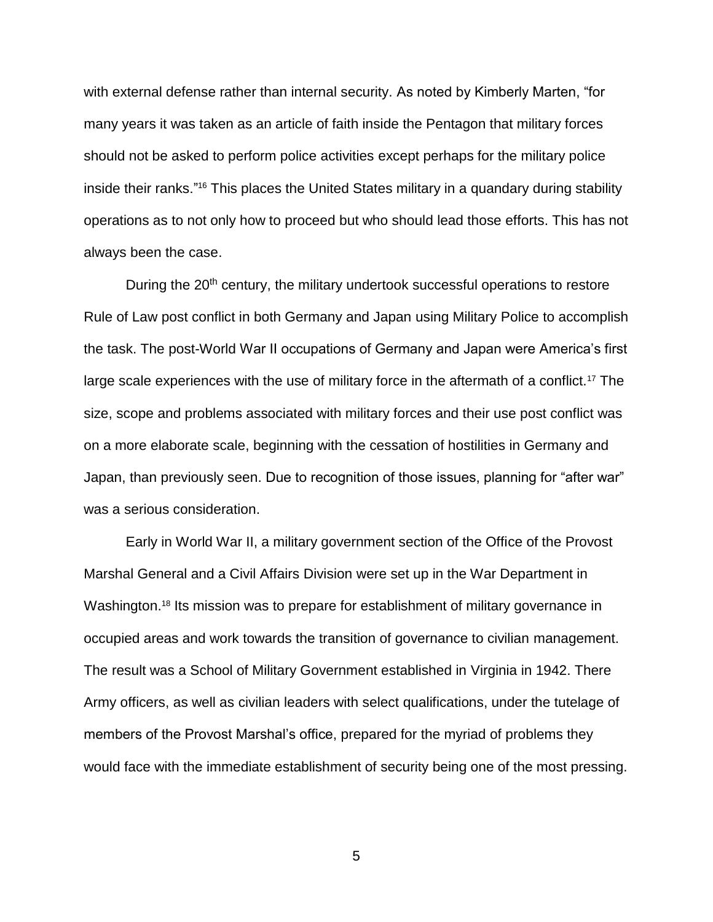with external defense rather than internal security. As noted by Kimberly Marten, "for many years it was taken as an article of faith inside the Pentagon that military forces should not be asked to perform police activities except perhaps for the military police inside their ranks."<sup>16</sup> This places the United States military in a quandary during stability operations as to not only how to proceed but who should lead those efforts. This has not always been the case.

During the 20<sup>th</sup> century, the military undertook successful operations to restore Rule of Law post conflict in both Germany and Japan using Military Police to accomplish the task. The post-World War II occupations of Germany and Japan were America's first large scale experiences with the use of military force in the aftermath of a conflict.<sup>17</sup> The size, scope and problems associated with military forces and their use post conflict was on a more elaborate scale, beginning with the cessation of hostilities in Germany and Japan, than previously seen. Due to recognition of those issues, planning for "after war" was a serious consideration.

Early in World War II, a military government section of the Office of the Provost Marshal General and a Civil Affairs Division were set up in the War Department in Washington.<sup>18</sup> Its mission was to prepare for establishment of military governance in occupied areas and work towards the transition of governance to civilian management. The result was a School of Military Government established in Virginia in 1942. There Army officers, as well as civilian leaders with select qualifications, under the tutelage of members of the Provost Marshal's office, prepared for the myriad of problems they would face with the immediate establishment of security being one of the most pressing.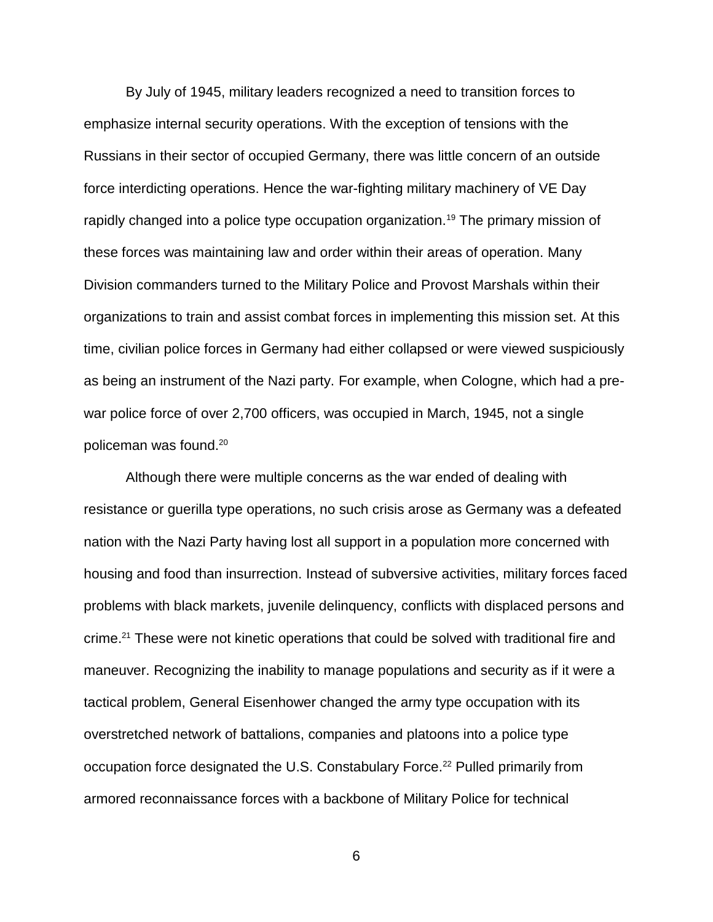By July of 1945, military leaders recognized a need to transition forces to emphasize internal security operations. With the exception of tensions with the Russians in their sector of occupied Germany, there was little concern of an outside force interdicting operations. Hence the war-fighting military machinery of VE Day rapidly changed into a police type occupation organization.<sup>19</sup> The primary mission of these forces was maintaining law and order within their areas of operation. Many Division commanders turned to the Military Police and Provost Marshals within their organizations to train and assist combat forces in implementing this mission set. At this time, civilian police forces in Germany had either collapsed or were viewed suspiciously as being an instrument of the Nazi party. For example, when Cologne, which had a prewar police force of over 2,700 officers, was occupied in March, 1945, not a single policeman was found.<sup>20</sup>

Although there were multiple concerns as the war ended of dealing with resistance or guerilla type operations, no such crisis arose as Germany was a defeated nation with the Nazi Party having lost all support in a population more concerned with housing and food than insurrection. Instead of subversive activities, military forces faced problems with black markets, juvenile delinquency, conflicts with displaced persons and crime.<sup>21</sup> These were not kinetic operations that could be solved with traditional fire and maneuver. Recognizing the inability to manage populations and security as if it were a tactical problem, General Eisenhower changed the army type occupation with its overstretched network of battalions, companies and platoons into a police type occupation force designated the U.S. Constabulary Force.<sup>22</sup> Pulled primarily from armored reconnaissance forces with a backbone of Military Police for technical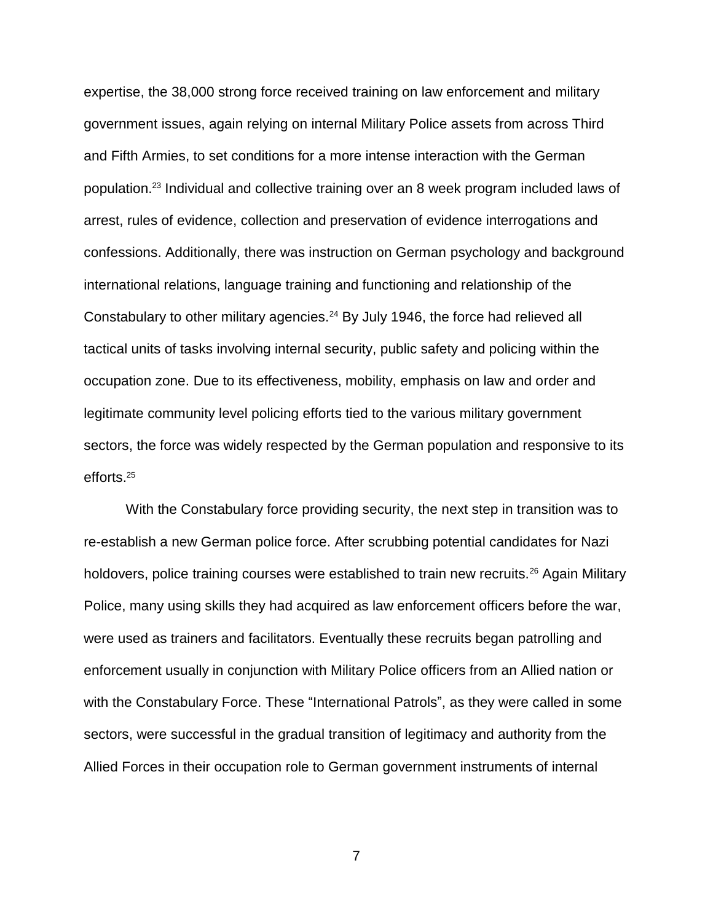expertise, the 38,000 strong force received training on law enforcement and military government issues, again relying on internal Military Police assets from across Third and Fifth Armies, to set conditions for a more intense interaction with the German population.<sup>23</sup> Individual and collective training over an 8 week program included laws of arrest, rules of evidence, collection and preservation of evidence interrogations and confessions. Additionally, there was instruction on German psychology and background international relations, language training and functioning and relationship of the Constabulary to other military agencies.<sup>24</sup> By July 1946, the force had relieved all tactical units of tasks involving internal security, public safety and policing within the occupation zone. Due to its effectiveness, mobility, emphasis on law and order and legitimate community level policing efforts tied to the various military government sectors, the force was widely respected by the German population and responsive to its efforts.<sup>25</sup>

With the Constabulary force providing security, the next step in transition was to re-establish a new German police force. After scrubbing potential candidates for Nazi holdovers, police training courses were established to train new recruits.<sup>26</sup> Again Military Police, many using skills they had acquired as law enforcement officers before the war, were used as trainers and facilitators. Eventually these recruits began patrolling and enforcement usually in conjunction with Military Police officers from an Allied nation or with the Constabulary Force. These "International Patrols", as they were called in some sectors, were successful in the gradual transition of legitimacy and authority from the Allied Forces in their occupation role to German government instruments of internal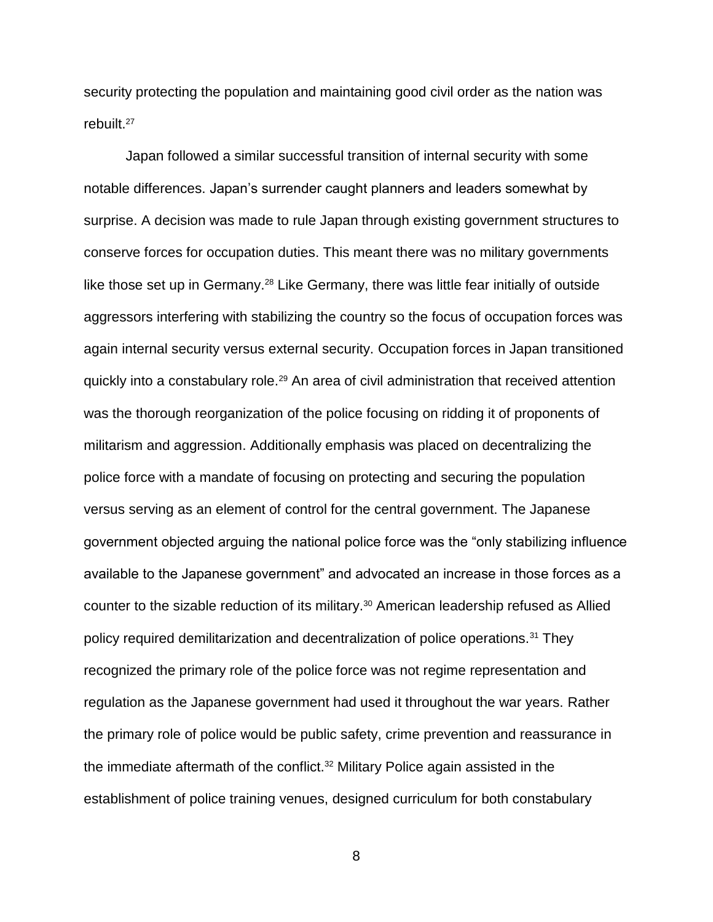security protecting the population and maintaining good civil order as the nation was rebuilt.<sup>27</sup>

Japan followed a similar successful transition of internal security with some notable differences. Japan's surrender caught planners and leaders somewhat by surprise. A decision was made to rule Japan through existing government structures to conserve forces for occupation duties. This meant there was no military governments like those set up in Germany.<sup>28</sup> Like Germany, there was little fear initially of outside aggressors interfering with stabilizing the country so the focus of occupation forces was again internal security versus external security. Occupation forces in Japan transitioned quickly into a constabulary role.<sup>29</sup> An area of civil administration that received attention was the thorough reorganization of the police focusing on ridding it of proponents of militarism and aggression. Additionally emphasis was placed on decentralizing the police force with a mandate of focusing on protecting and securing the population versus serving as an element of control for the central government. The Japanese government objected arguing the national police force was the "only stabilizing influence available to the Japanese government" and advocated an increase in those forces as a counter to the sizable reduction of its military.<sup>30</sup> American leadership refused as Allied policy required demilitarization and decentralization of police operations.<sup>31</sup> They recognized the primary role of the police force was not regime representation and regulation as the Japanese government had used it throughout the war years. Rather the primary role of police would be public safety, crime prevention and reassurance in the immediate aftermath of the conflict.<sup>32</sup> Military Police again assisted in the establishment of police training venues, designed curriculum for both constabulary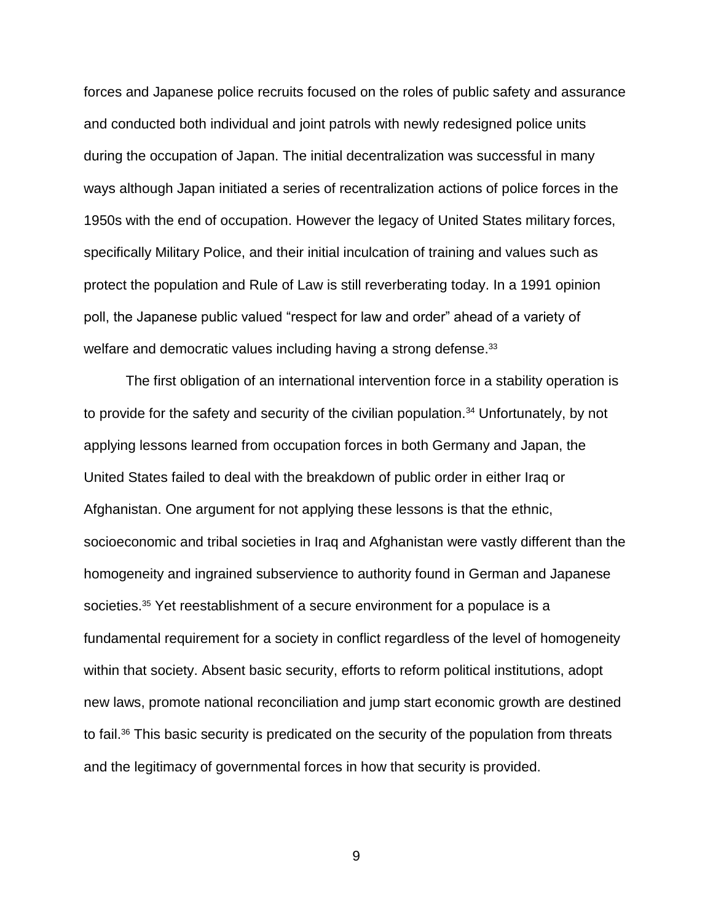forces and Japanese police recruits focused on the roles of public safety and assurance and conducted both individual and joint patrols with newly redesigned police units during the occupation of Japan. The initial decentralization was successful in many ways although Japan initiated a series of recentralization actions of police forces in the 1950s with the end of occupation. However the legacy of United States military forces, specifically Military Police, and their initial inculcation of training and values such as protect the population and Rule of Law is still reverberating today. In a 1991 opinion poll, the Japanese public valued "respect for law and order" ahead of a variety of welfare and democratic values including having a strong defense.<sup>33</sup>

The first obligation of an international intervention force in a stability operation is to provide for the safety and security of the civilian population.<sup>34</sup> Unfortunately, by not applying lessons learned from occupation forces in both Germany and Japan, the United States failed to deal with the breakdown of public order in either Iraq or Afghanistan. One argument for not applying these lessons is that the ethnic, socioeconomic and tribal societies in Iraq and Afghanistan were vastly different than the homogeneity and ingrained subservience to authority found in German and Japanese societies.<sup>35</sup> Yet reestablishment of a secure environment for a populace is a fundamental requirement for a society in conflict regardless of the level of homogeneity within that society. Absent basic security, efforts to reform political institutions, adopt new laws, promote national reconciliation and jump start economic growth are destined to fail.<sup>36</sup> This basic security is predicated on the security of the population from threats and the legitimacy of governmental forces in how that security is provided.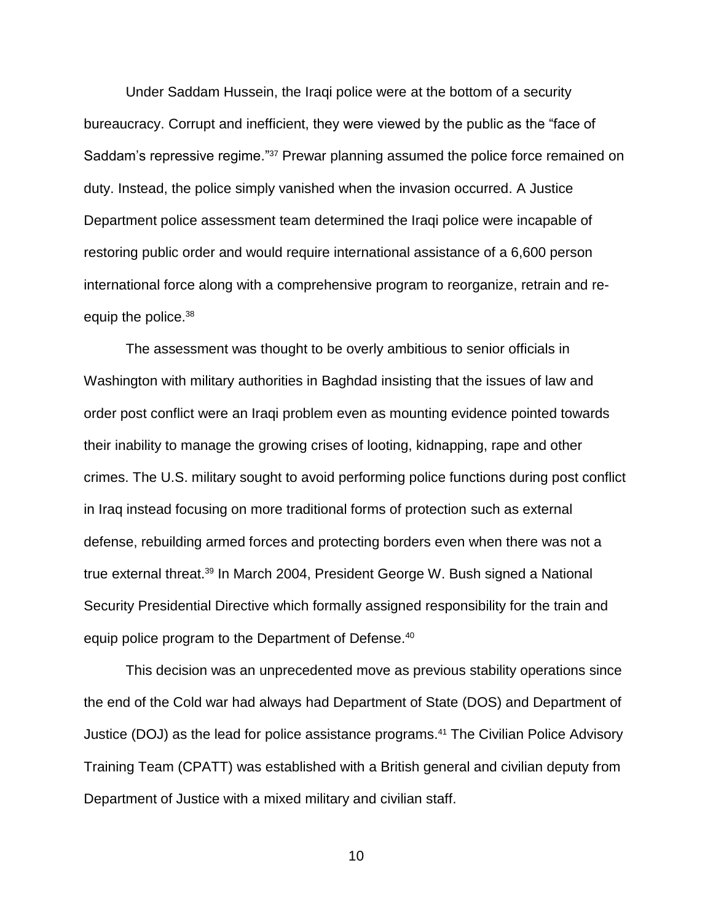Under Saddam Hussein, the Iraqi police were at the bottom of a security bureaucracy. Corrupt and inefficient, they were viewed by the public as the "face of Saddam's repressive regime."<sup>37</sup> Prewar planning assumed the police force remained on duty. Instead, the police simply vanished when the invasion occurred. A Justice Department police assessment team determined the Iraqi police were incapable of restoring public order and would require international assistance of a 6,600 person international force along with a comprehensive program to reorganize, retrain and reequip the police.<sup>38</sup>

The assessment was thought to be overly ambitious to senior officials in Washington with military authorities in Baghdad insisting that the issues of law and order post conflict were an Iraqi problem even as mounting evidence pointed towards their inability to manage the growing crises of looting, kidnapping, rape and other crimes. The U.S. military sought to avoid performing police functions during post conflict in Iraq instead focusing on more traditional forms of protection such as external defense, rebuilding armed forces and protecting borders even when there was not a true external threat.<sup>39</sup> In March 2004, President George W. Bush signed a National Security Presidential Directive which formally assigned responsibility for the train and equip police program to the Department of Defense.<sup>40</sup>

This decision was an unprecedented move as previous stability operations since the end of the Cold war had always had Department of State (DOS) and Department of Justice (DOJ) as the lead for police assistance programs.<sup>41</sup> The Civilian Police Advisory Training Team (CPATT) was established with a British general and civilian deputy from Department of Justice with a mixed military and civilian staff.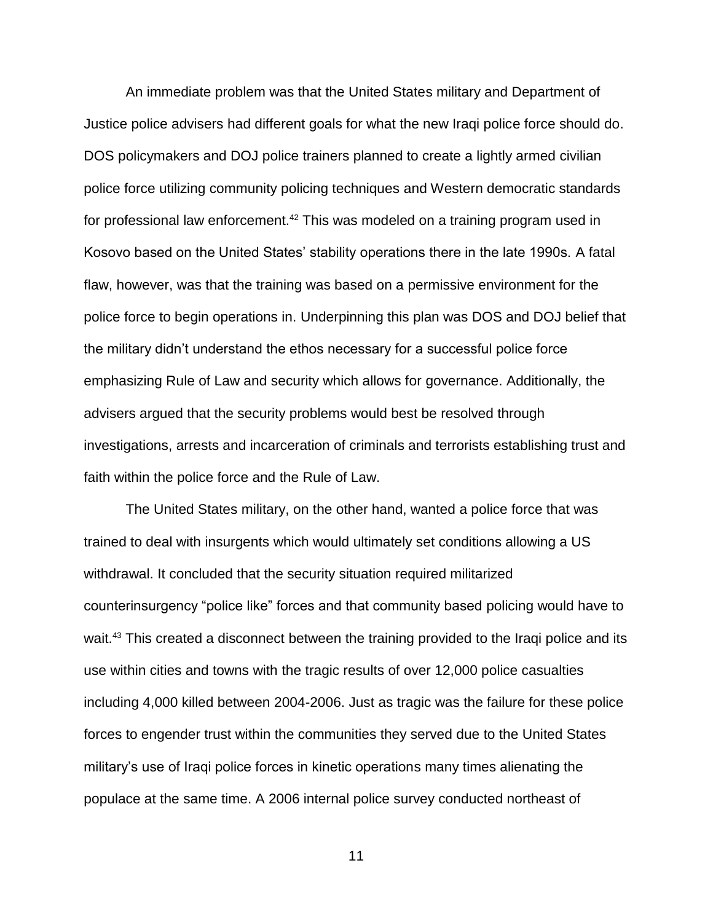An immediate problem was that the United States military and Department of Justice police advisers had different goals for what the new Iraqi police force should do. DOS policymakers and DOJ police trainers planned to create a lightly armed civilian police force utilizing community policing techniques and Western democratic standards for professional law enforcement.<sup>42</sup> This was modeled on a training program used in Kosovo based on the United States' stability operations there in the late 1990s. A fatal flaw, however, was that the training was based on a permissive environment for the police force to begin operations in. Underpinning this plan was DOS and DOJ belief that the military didn't understand the ethos necessary for a successful police force emphasizing Rule of Law and security which allows for governance. Additionally, the advisers argued that the security problems would best be resolved through investigations, arrests and incarceration of criminals and terrorists establishing trust and faith within the police force and the Rule of Law.

The United States military, on the other hand, wanted a police force that was trained to deal with insurgents which would ultimately set conditions allowing a US withdrawal. It concluded that the security situation required militarized counterinsurgency "police like" forces and that community based policing would have to wait.<sup>43</sup> This created a disconnect between the training provided to the Iraqi police and its use within cities and towns with the tragic results of over 12,000 police casualties including 4,000 killed between 2004-2006. Just as tragic was the failure for these police forces to engender trust within the communities they served due to the United States military's use of Iraqi police forces in kinetic operations many times alienating the populace at the same time. A 2006 internal police survey conducted northeast of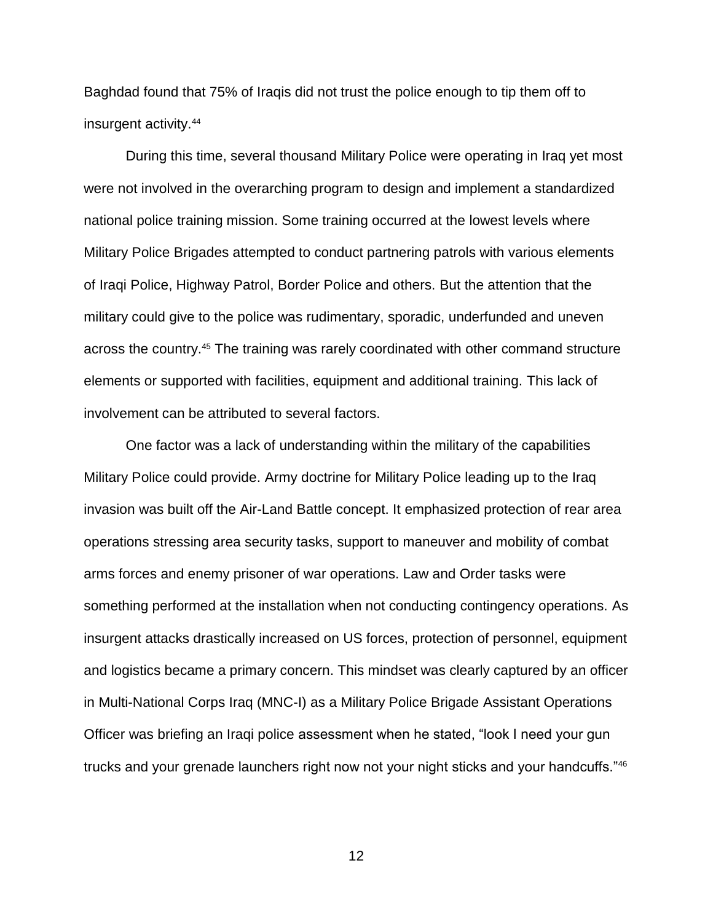Baghdad found that 75% of Iraqis did not trust the police enough to tip them off to insurgent activity.<sup>44</sup>

During this time, several thousand Military Police were operating in Iraq yet most were not involved in the overarching program to design and implement a standardized national police training mission. Some training occurred at the lowest levels where Military Police Brigades attempted to conduct partnering patrols with various elements of Iraqi Police, Highway Patrol, Border Police and others. But the attention that the military could give to the police was rudimentary, sporadic, underfunded and uneven across the country.<sup>45</sup> The training was rarely coordinated with other command structure elements or supported with facilities, equipment and additional training. This lack of involvement can be attributed to several factors.

One factor was a lack of understanding within the military of the capabilities Military Police could provide. Army doctrine for Military Police leading up to the Iraq invasion was built off the Air-Land Battle concept. It emphasized protection of rear area operations stressing area security tasks, support to maneuver and mobility of combat arms forces and enemy prisoner of war operations. Law and Order tasks were something performed at the installation when not conducting contingency operations. As insurgent attacks drastically increased on US forces, protection of personnel, equipment and logistics became a primary concern. This mindset was clearly captured by an officer in Multi-National Corps Iraq (MNC-I) as a Military Police Brigade Assistant Operations Officer was briefing an Iraqi police assessment when he stated, "look I need your gun trucks and your grenade launchers right now not your night sticks and your handcuffs."46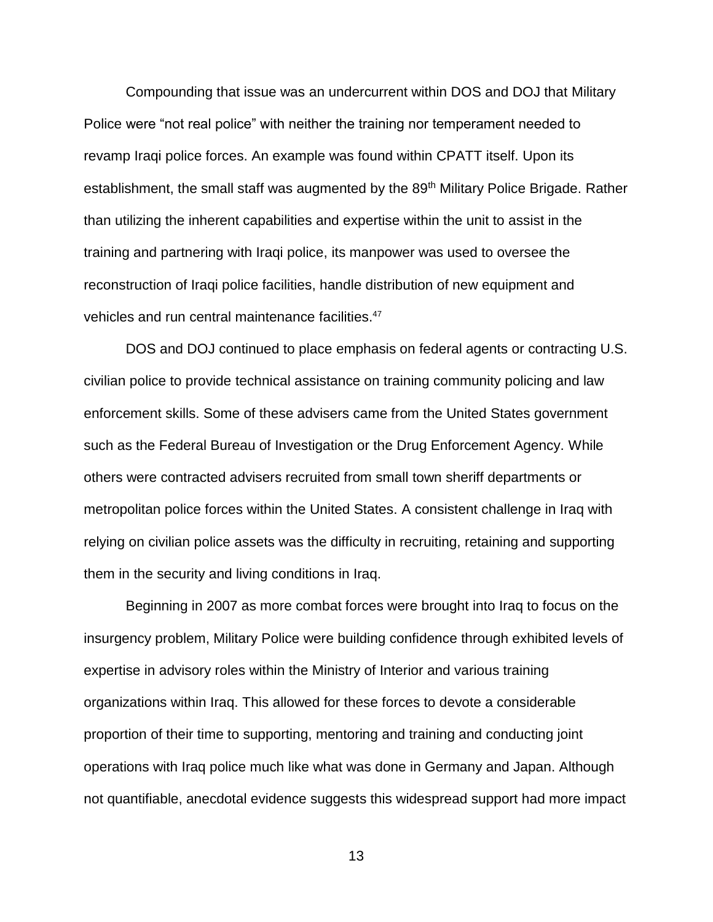Compounding that issue was an undercurrent within DOS and DOJ that Military Police were "not real police" with neither the training nor temperament needed to revamp Iraqi police forces. An example was found within CPATT itself. Upon its establishment, the small staff was augmented by the 89<sup>th</sup> Military Police Brigade. Rather than utilizing the inherent capabilities and expertise within the unit to assist in the training and partnering with Iraqi police, its manpower was used to oversee the reconstruction of Iraqi police facilities, handle distribution of new equipment and vehicles and run central maintenance facilities. 47

DOS and DOJ continued to place emphasis on federal agents or contracting U.S. civilian police to provide technical assistance on training community policing and law enforcement skills. Some of these advisers came from the United States government such as the Federal Bureau of Investigation or the Drug Enforcement Agency. While others were contracted advisers recruited from small town sheriff departments or metropolitan police forces within the United States. A consistent challenge in Iraq with relying on civilian police assets was the difficulty in recruiting, retaining and supporting them in the security and living conditions in Iraq.

Beginning in 2007 as more combat forces were brought into Iraq to focus on the insurgency problem, Military Police were building confidence through exhibited levels of expertise in advisory roles within the Ministry of Interior and various training organizations within Iraq. This allowed for these forces to devote a considerable proportion of their time to supporting, mentoring and training and conducting joint operations with Iraq police much like what was done in Germany and Japan. Although not quantifiable, anecdotal evidence suggests this widespread support had more impact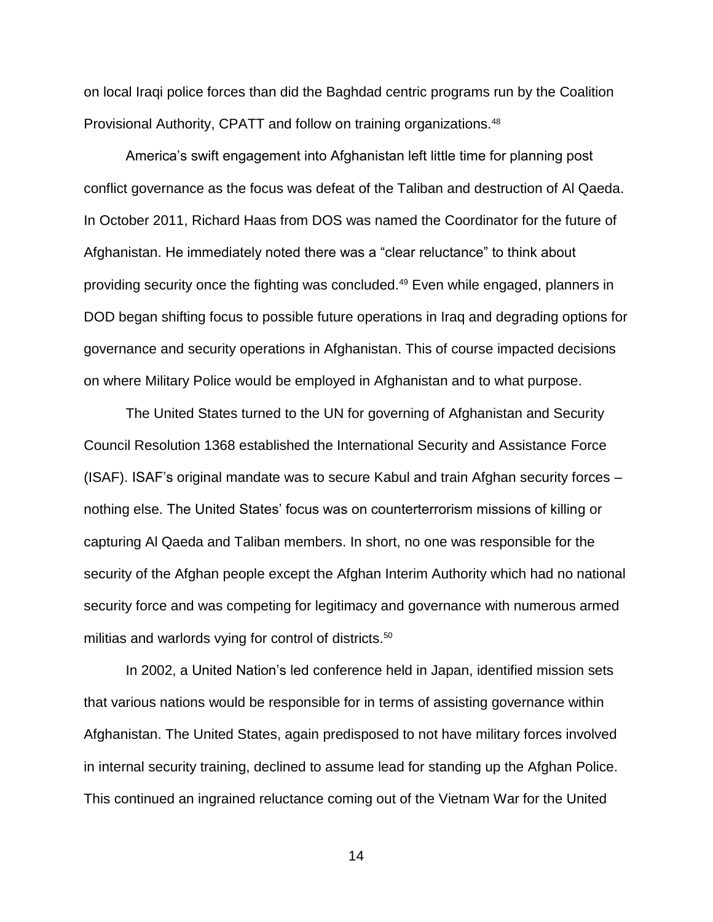on local Iraqi police forces than did the Baghdad centric programs run by the Coalition Provisional Authority, CPATT and follow on training organizations.<sup>48</sup>

America's swift engagement into Afghanistan left little time for planning post conflict governance as the focus was defeat of the Taliban and destruction of Al Qaeda. In October 2011, Richard Haas from DOS was named the Coordinator for the future of Afghanistan. He immediately noted there was a "clear reluctance" to think about providing security once the fighting was concluded.<sup>49</sup> Even while engaged, planners in DOD began shifting focus to possible future operations in Iraq and degrading options for governance and security operations in Afghanistan. This of course impacted decisions on where Military Police would be employed in Afghanistan and to what purpose.

The United States turned to the UN for governing of Afghanistan and Security Council Resolution 1368 established the International Security and Assistance Force (ISAF). ISAF's original mandate was to secure Kabul and train Afghan security forces – nothing else. The United States' focus was on counterterrorism missions of killing or capturing Al Qaeda and Taliban members. In short, no one was responsible for the security of the Afghan people except the Afghan Interim Authority which had no national security force and was competing for legitimacy and governance with numerous armed militias and warlords vying for control of districts.<sup>50</sup>

In 2002, a United Nation's led conference held in Japan, identified mission sets that various nations would be responsible for in terms of assisting governance within Afghanistan. The United States, again predisposed to not have military forces involved in internal security training, declined to assume lead for standing up the Afghan Police. This continued an ingrained reluctance coming out of the Vietnam War for the United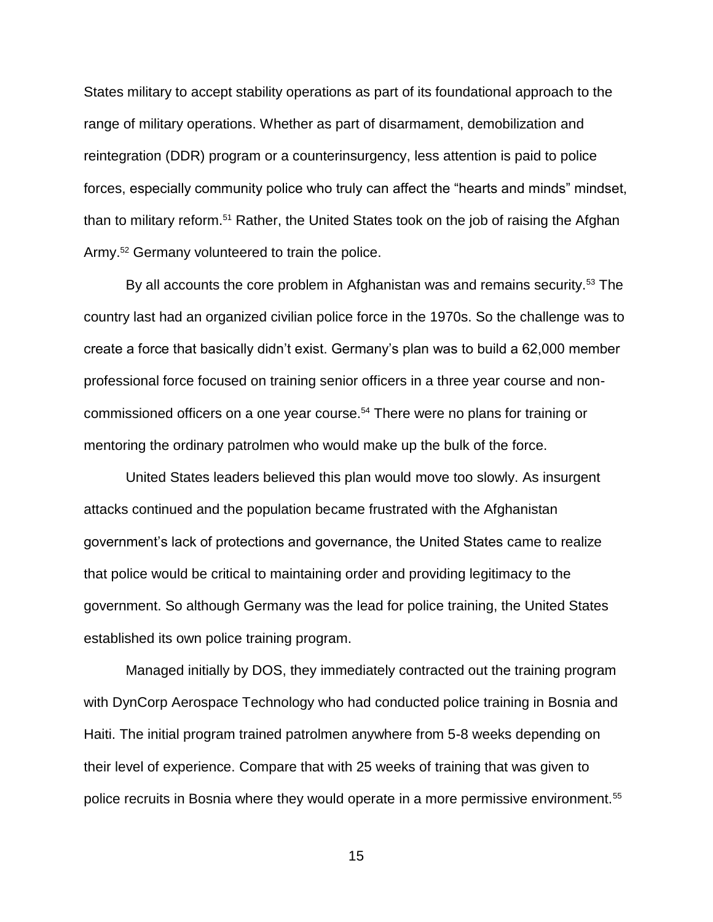States military to accept stability operations as part of its foundational approach to the range of military operations. Whether as part of disarmament, demobilization and reintegration (DDR) program or a counterinsurgency, less attention is paid to police forces, especially community police who truly can affect the "hearts and minds" mindset, than to military reform.<sup>51</sup> Rather, the United States took on the job of raising the Afghan Army.<sup>52</sup> Germany volunteered to train the police.

By all accounts the core problem in Afghanistan was and remains security.<sup>53</sup> The country last had an organized civilian police force in the 1970s. So the challenge was to create a force that basically didn't exist. Germany's plan was to build a 62,000 member professional force focused on training senior officers in a three year course and noncommissioned officers on a one year course.<sup>54</sup> There were no plans for training or mentoring the ordinary patrolmen who would make up the bulk of the force.

United States leaders believed this plan would move too slowly. As insurgent attacks continued and the population became frustrated with the Afghanistan government's lack of protections and governance, the United States came to realize that police would be critical to maintaining order and providing legitimacy to the government. So although Germany was the lead for police training, the United States established its own police training program.

Managed initially by DOS, they immediately contracted out the training program with DynCorp Aerospace Technology who had conducted police training in Bosnia and Haiti. The initial program trained patrolmen anywhere from 5-8 weeks depending on their level of experience. Compare that with 25 weeks of training that was given to police recruits in Bosnia where they would operate in a more permissive environment.<sup>55</sup>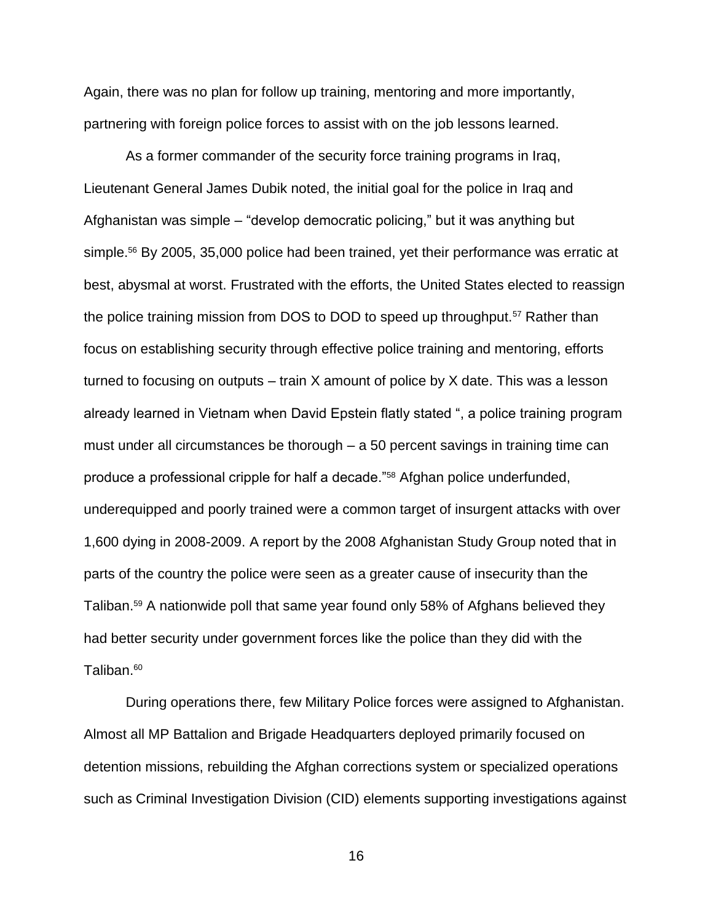Again, there was no plan for follow up training, mentoring and more importantly, partnering with foreign police forces to assist with on the job lessons learned.

As a former commander of the security force training programs in Iraq, Lieutenant General James Dubik noted, the initial goal for the police in Iraq and Afghanistan was simple – "develop democratic policing," but it was anything but simple.<sup>56</sup> By 2005, 35,000 police had been trained, yet their performance was erratic at best, abysmal at worst. Frustrated with the efforts, the United States elected to reassign the police training mission from DOS to DOD to speed up throughput.<sup>57</sup> Rather than focus on establishing security through effective police training and mentoring, efforts turned to focusing on outputs – train X amount of police by X date. This was a lesson already learned in Vietnam when David Epstein flatly stated ", a police training program must under all circumstances be thorough – a 50 percent savings in training time can produce a professional cripple for half a decade."<sup>58</sup> Afghan police underfunded, underequipped and poorly trained were a common target of insurgent attacks with over 1,600 dying in 2008-2009. A report by the 2008 Afghanistan Study Group noted that in parts of the country the police were seen as a greater cause of insecurity than the Taliban.<sup>59</sup> A nationwide poll that same year found only 58% of Afghans believed they had better security under government forces like the police than they did with the Taliban.<sup>60</sup>

During operations there, few Military Police forces were assigned to Afghanistan. Almost all MP Battalion and Brigade Headquarters deployed primarily focused on detention missions, rebuilding the Afghan corrections system or specialized operations such as Criminal Investigation Division (CID) elements supporting investigations against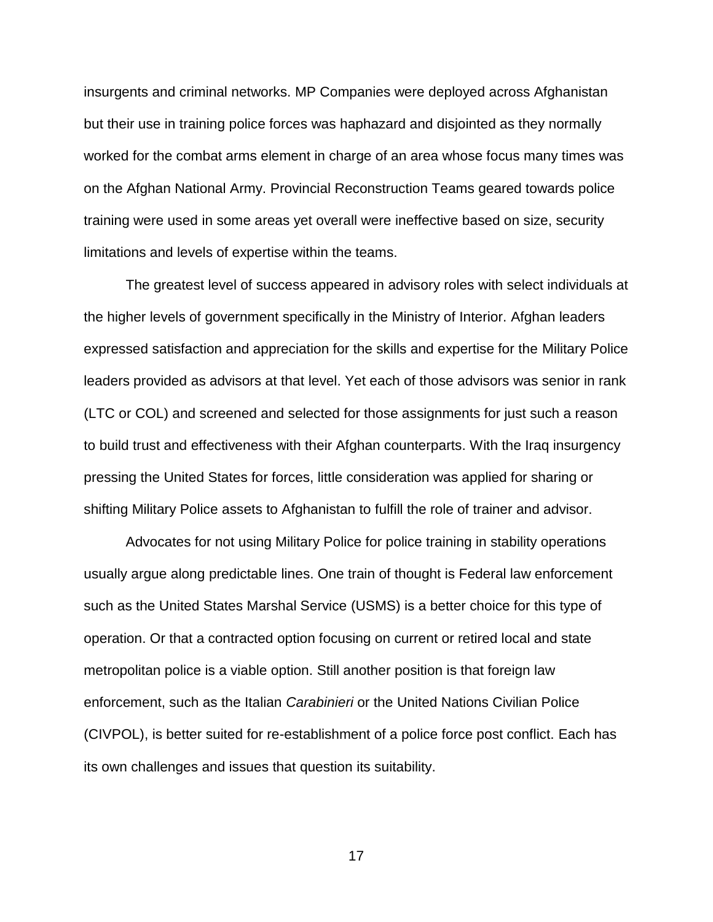insurgents and criminal networks. MP Companies were deployed across Afghanistan but their use in training police forces was haphazard and disjointed as they normally worked for the combat arms element in charge of an area whose focus many times was on the Afghan National Army. Provincial Reconstruction Teams geared towards police training were used in some areas yet overall were ineffective based on size, security limitations and levels of expertise within the teams.

The greatest level of success appeared in advisory roles with select individuals at the higher levels of government specifically in the Ministry of Interior. Afghan leaders expressed satisfaction and appreciation for the skills and expertise for the Military Police leaders provided as advisors at that level. Yet each of those advisors was senior in rank (LTC or COL) and screened and selected for those assignments for just such a reason to build trust and effectiveness with their Afghan counterparts. With the Iraq insurgency pressing the United States for forces, little consideration was applied for sharing or shifting Military Police assets to Afghanistan to fulfill the role of trainer and advisor.

Advocates for not using Military Police for police training in stability operations usually argue along predictable lines. One train of thought is Federal law enforcement such as the United States Marshal Service (USMS) is a better choice for this type of operation. Or that a contracted option focusing on current or retired local and state metropolitan police is a viable option. Still another position is that foreign law enforcement, such as the Italian *Carabinieri* or the United Nations Civilian Police (CIVPOL), is better suited for re-establishment of a police force post conflict. Each has its own challenges and issues that question its suitability.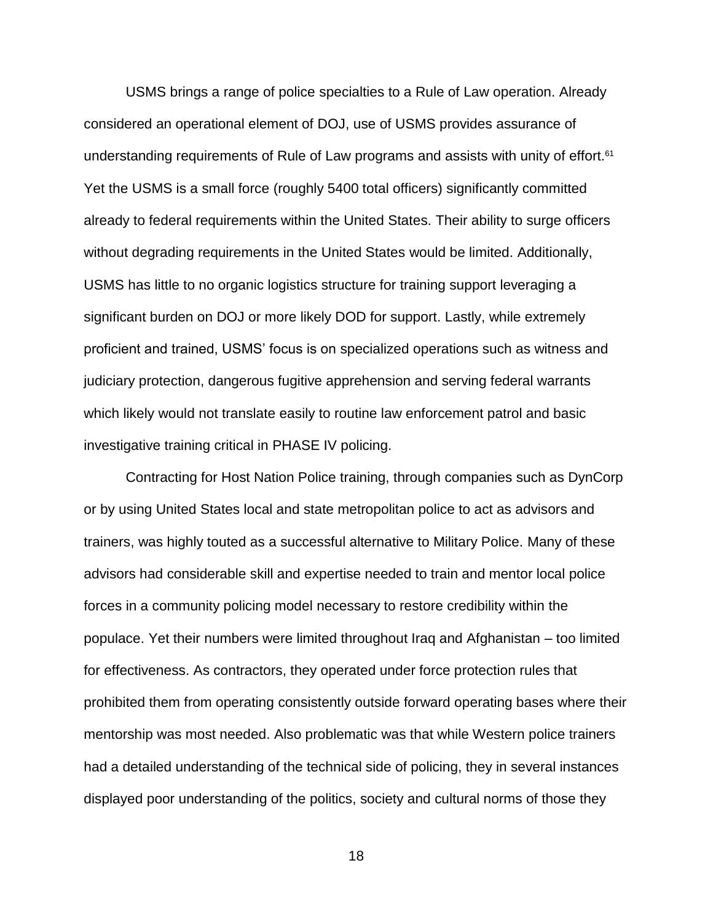USMS brings a range of police specialties to a Rule of Law operation. Already considered an operational element of DOJ, use of USMS provides assurance of understanding requirements of Rule of Law programs and assists with unity of effort.<sup>61</sup> Yet the USMS is a small force (roughly 5400 total officers) significantly committed already to federal requirements within the United States. Their ability to surge officers without degrading requirements in the United States would be limited. Additionally, USMS has little to no organic logistics structure for training support leveraging a significant burden on DOJ or more likely DOD for support. Lastly, while extremely proficient and trained, USMS' focus is on specialized operations such as witness and judiciary protection, dangerous fugitive apprehension and serving federal warrants which likely would not translate easily to routine law enforcement patrol and basic investigative training critical in PHASE IV policing.

Contracting for Host Nation Police training, through companies such as DynCorp or by using United States local and state metropolitan police to act as advisors and trainers, was highly touted as a successful alternative to Military Police. Many of these advisors had considerable skill and expertise needed to train and mentor local police forces in a community policing model necessary to restore credibility within the populace. Yet their numbers were limited throughout Iraq and Afghanistan – too limited for effectiveness. As contractors, they operated under force protection rules that prohibited them from operating consistently outside forward operating bases where their mentorship was most needed. Also problematic was that while Western police trainers had a detailed understanding of the technical side of policing, they in several instances displayed poor understanding of the politics, society and cultural norms of those they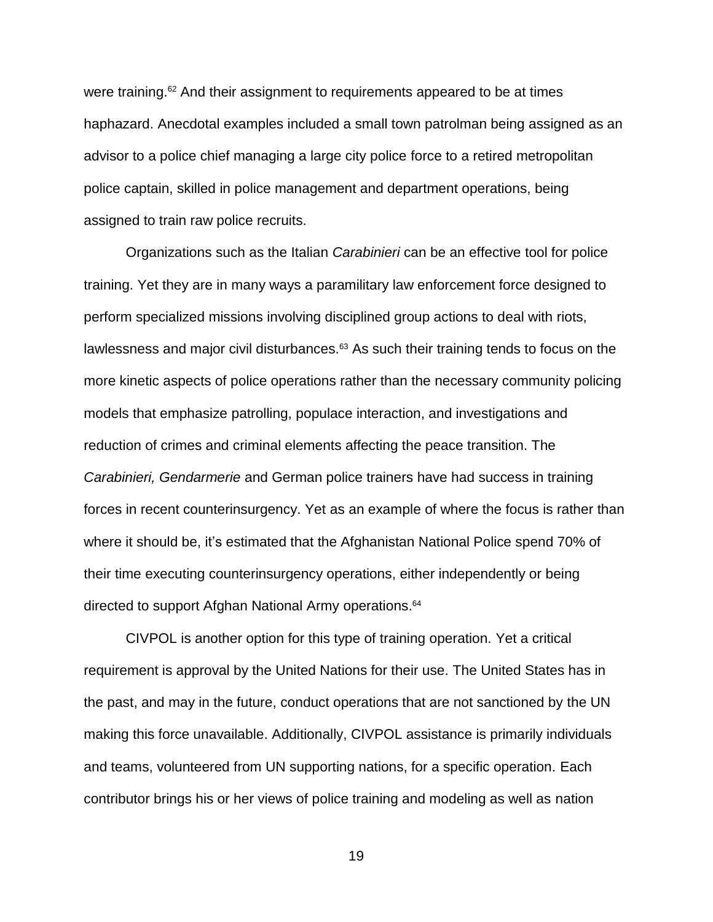were training.<sup>62</sup> And their assignment to requirements appeared to be at times haphazard. Anecdotal examples included a small town patrolman being assigned as an advisor to a police chief managing a large city police force to a retired metropolitan police captain, skilled in police management and department operations, being assigned to train raw police recruits.

Organizations such as the Italian *Carabinieri* can be an effective tool for police training. Yet they are in many ways a paramilitary law enforcement force designed to perform specialized missions involving disciplined group actions to deal with riots, lawlessness and major civil disturbances.<sup>63</sup> As such their training tends to focus on the more kinetic aspects of police operations rather than the necessary community policing models that emphasize patrolling, populace interaction, and investigations and reduction of crimes and criminal elements affecting the peace transition. The *Carabinieri, Gendarmerie* and German police trainers have had success in training forces in recent counterinsurgency. Yet as an example of where the focus is rather than where it should be, it's estimated that the Afghanistan National Police spend 70% of their time executing counterinsurgency operations, either independently or being directed to support Afghan National Army operations.<sup>64</sup>

CIVPOL is another option for this type of training operation. Yet a critical requirement is approval by the United Nations for their use. The United States has in the past, and may in the future, conduct operations that are not sanctioned by the UN making this force unavailable. Additionally, CIVPOL assistance is primarily individuals and teams, volunteered from UN supporting nations, for a specific operation. Each contributor brings his or her views of police training and modeling as well as nation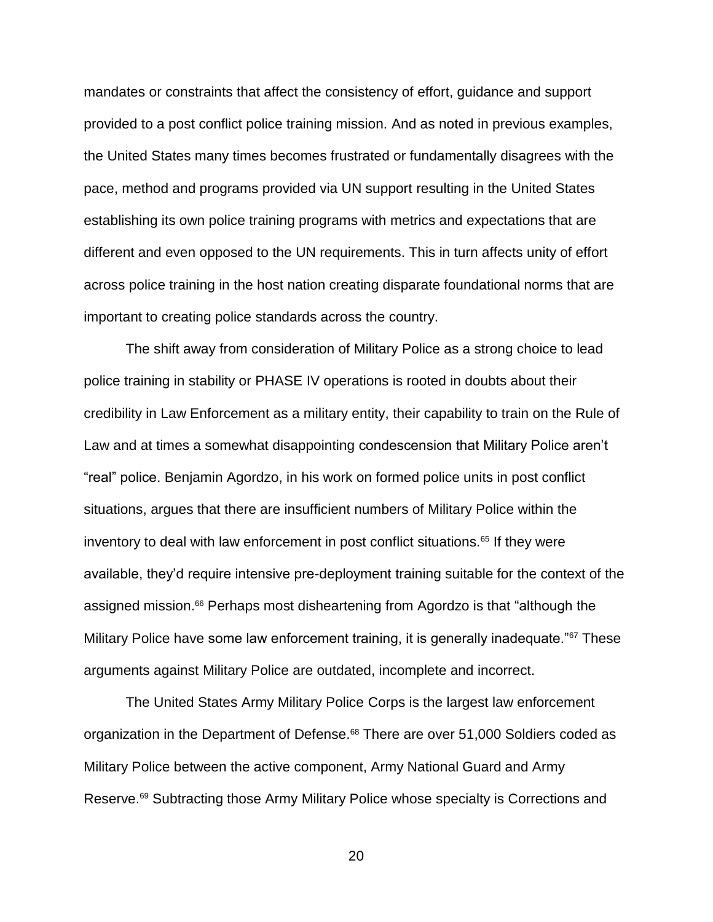mandates or constraints that affect the consistency of effort, guidance and support provided to a post conflict police training mission. And as noted in previous examples, the United States many times becomes frustrated or fundamentally disagrees with the pace, method and programs provided via UN support resulting in the United States establishing its own police training programs with metrics and expectations that are different and even opposed to the UN requirements. This in turn affects unity of effort across police training in the host nation creating disparate foundational norms that are important to creating police standards across the country.

The shift away from consideration of Military Police as a strong choice to lead police training in stability or PHASE IV operations is rooted in doubts about their credibility in Law Enforcement as a military entity, their capability to train on the Rule of Law and at times a somewhat disappointing condescension that Military Police aren't "real" police. Benjamin Agordzo, in his work on formed police units in post conflict situations, argues that there are insufficient numbers of Military Police within the inventory to deal with law enforcement in post conflict situations.<sup>65</sup> If they were available, they'd require intensive pre-deployment training suitable for the context of the assigned mission.<sup>66</sup> Perhaps most disheartening from Agordzo is that "although the Military Police have some law enforcement training, it is generally inadequate.<sup>"67</sup> These arguments against Military Police are outdated, incomplete and incorrect.

The United States Army Military Police Corps is the largest law enforcement organization in the Department of Defense.<sup>68</sup> There are over 51,000 Soldiers coded as Military Police between the active component, Army National Guard and Army Reserve.<sup>69</sup> Subtracting those Army Military Police whose specialty is Corrections and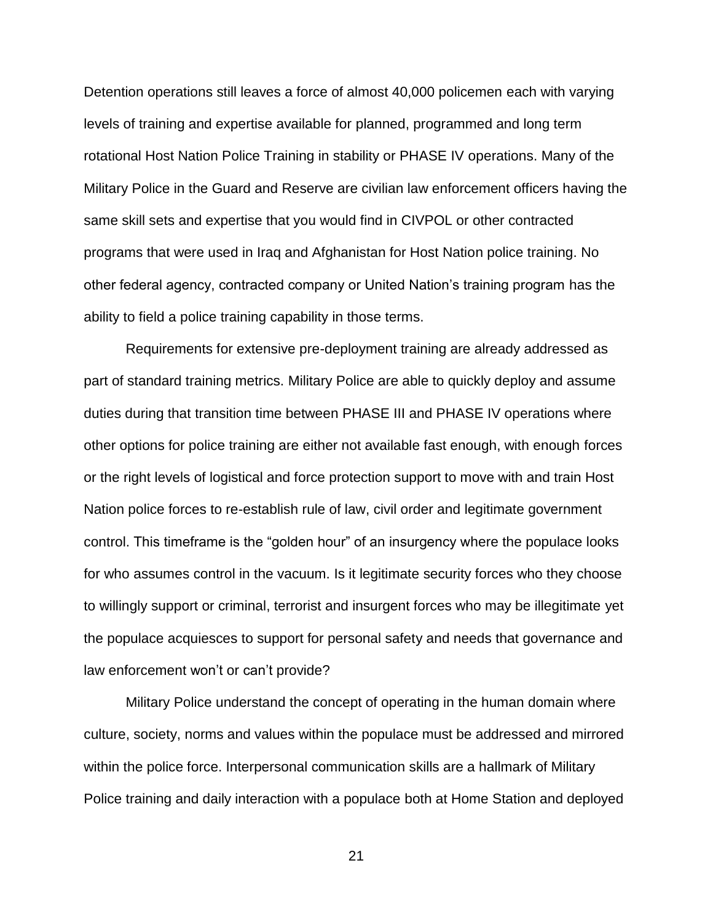Detention operations still leaves a force of almost 40,000 policemen each with varying levels of training and expertise available for planned, programmed and long term rotational Host Nation Police Training in stability or PHASE IV operations. Many of the Military Police in the Guard and Reserve are civilian law enforcement officers having the same skill sets and expertise that you would find in CIVPOL or other contracted programs that were used in Iraq and Afghanistan for Host Nation police training. No other federal agency, contracted company or United Nation's training program has the ability to field a police training capability in those terms.

Requirements for extensive pre-deployment training are already addressed as part of standard training metrics. Military Police are able to quickly deploy and assume duties during that transition time between PHASE III and PHASE IV operations where other options for police training are either not available fast enough, with enough forces or the right levels of logistical and force protection support to move with and train Host Nation police forces to re-establish rule of law, civil order and legitimate government control. This timeframe is the "golden hour" of an insurgency where the populace looks for who assumes control in the vacuum. Is it legitimate security forces who they choose to willingly support or criminal, terrorist and insurgent forces who may be illegitimate yet the populace acquiesces to support for personal safety and needs that governance and law enforcement won't or can't provide?

Military Police understand the concept of operating in the human domain where culture, society, norms and values within the populace must be addressed and mirrored within the police force. Interpersonal communication skills are a hallmark of Military Police training and daily interaction with a populace both at Home Station and deployed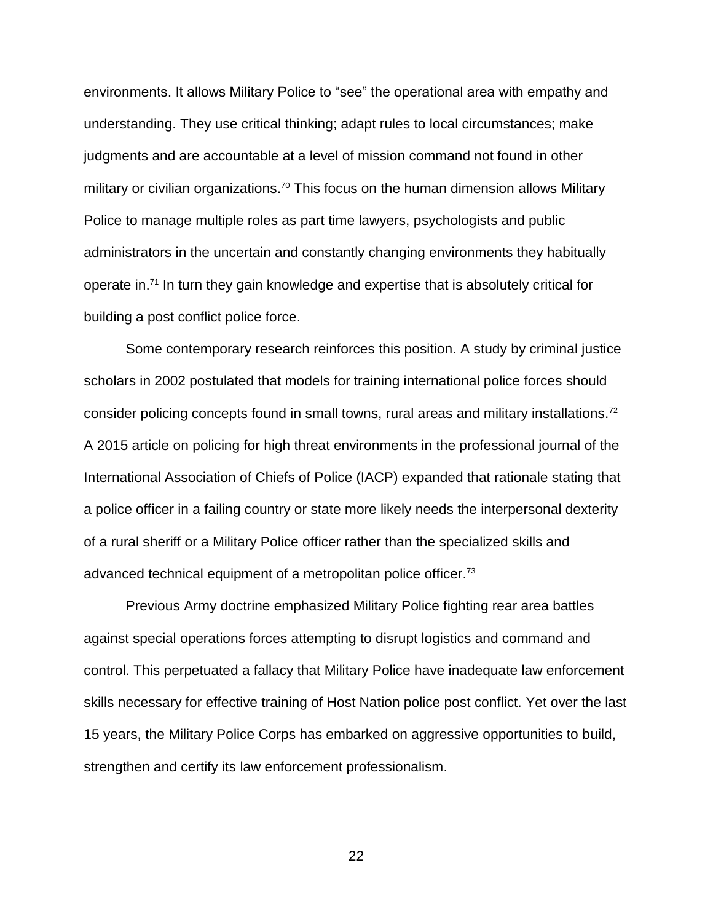environments. It allows Military Police to "see" the operational area with empathy and understanding. They use critical thinking; adapt rules to local circumstances; make judgments and are accountable at a level of mission command not found in other military or civilian organizations.<sup>70</sup> This focus on the human dimension allows Military Police to manage multiple roles as part time lawyers, psychologists and public administrators in the uncertain and constantly changing environments they habitually operate in.<sup>71</sup> In turn they gain knowledge and expertise that is absolutely critical for building a post conflict police force.

Some contemporary research reinforces this position. A study by criminal justice scholars in 2002 postulated that models for training international police forces should consider policing concepts found in small towns, rural areas and military installations.<sup>72</sup> A 2015 article on policing for high threat environments in the professional journal of the International Association of Chiefs of Police (IACP) expanded that rationale stating that a police officer in a failing country or state more likely needs the interpersonal dexterity of a rural sheriff or a Military Police officer rather than the specialized skills and advanced technical equipment of a metropolitan police officer.<sup>73</sup>

Previous Army doctrine emphasized Military Police fighting rear area battles against special operations forces attempting to disrupt logistics and command and control. This perpetuated a fallacy that Military Police have inadequate law enforcement skills necessary for effective training of Host Nation police post conflict. Yet over the last 15 years, the Military Police Corps has embarked on aggressive opportunities to build, strengthen and certify its law enforcement professionalism.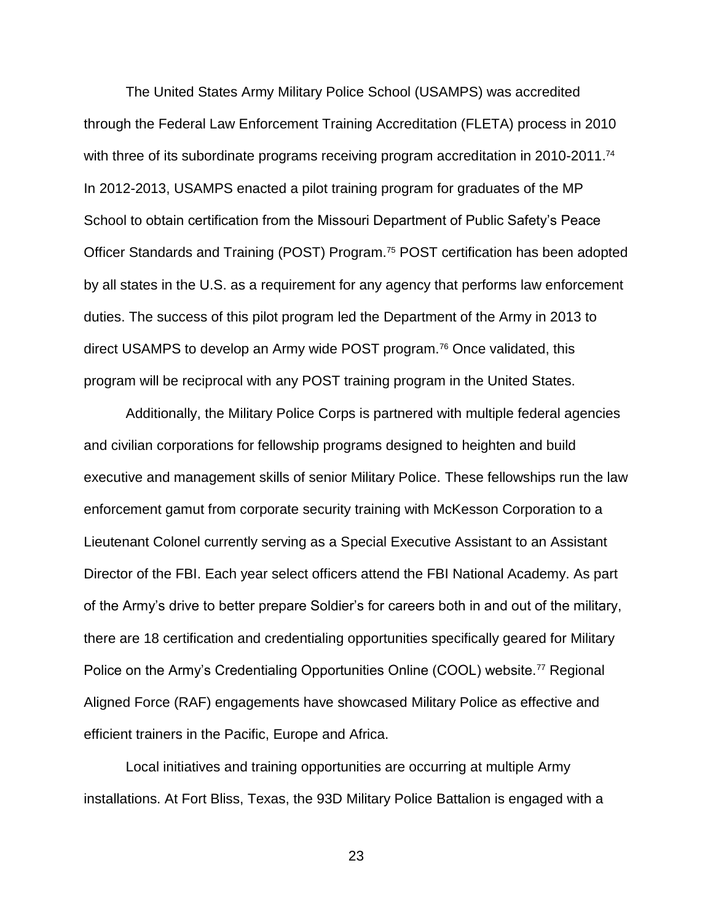The United States Army Military Police School (USAMPS) was accredited through the Federal Law Enforcement Training Accreditation (FLETA) process in 2010 with three of its subordinate programs receiving program accreditation in 2010-2011.<sup>74</sup> In 2012-2013, USAMPS enacted a pilot training program for graduates of the MP School to obtain certification from the Missouri Department of Public Safety's Peace Officer Standards and Training (POST) Program.<sup>75</sup> POST certification has been adopted by all states in the U.S. as a requirement for any agency that performs law enforcement duties. The success of this pilot program led the Department of the Army in 2013 to direct USAMPS to develop an Army wide POST program.<sup>76</sup> Once validated, this program will be reciprocal with any POST training program in the United States.

Additionally, the Military Police Corps is partnered with multiple federal agencies and civilian corporations for fellowship programs designed to heighten and build executive and management skills of senior Military Police. These fellowships run the law enforcement gamut from corporate security training with McKesson Corporation to a Lieutenant Colonel currently serving as a Special Executive Assistant to an Assistant Director of the FBI. Each year select officers attend the FBI National Academy. As part of the Army's drive to better prepare Soldier's for careers both in and out of the military, there are 18 certification and credentialing opportunities specifically geared for Military Police on the Army's Credentialing Opportunities Online (COOL) website.<sup>77</sup> Regional Aligned Force (RAF) engagements have showcased Military Police as effective and efficient trainers in the Pacific, Europe and Africa.

Local initiatives and training opportunities are occurring at multiple Army installations. At Fort Bliss, Texas, the 93D Military Police Battalion is engaged with a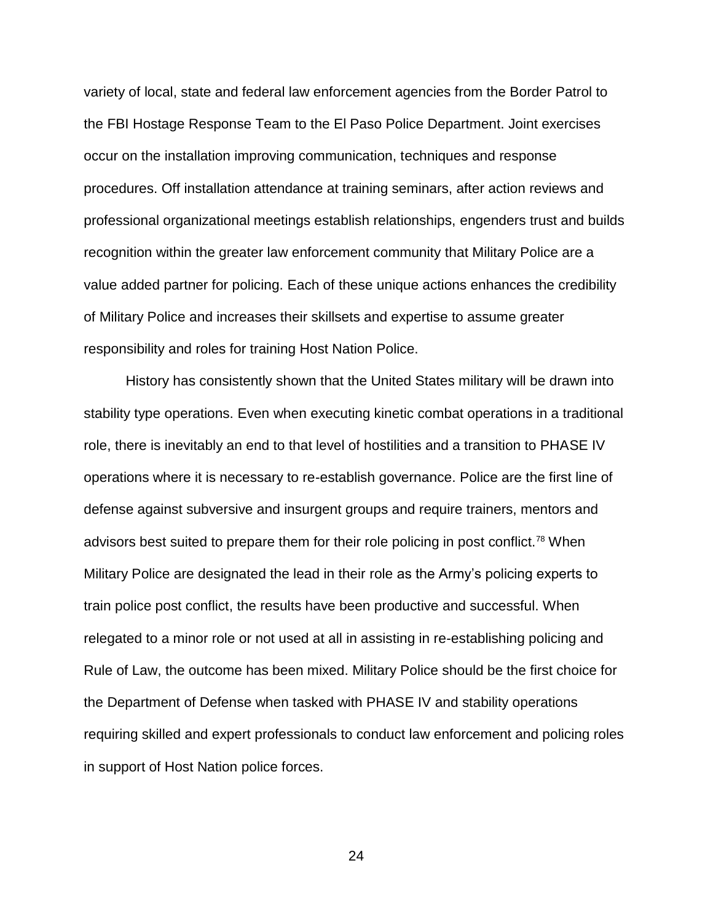variety of local, state and federal law enforcement agencies from the Border Patrol to the FBI Hostage Response Team to the El Paso Police Department. Joint exercises occur on the installation improving communication, techniques and response procedures. Off installation attendance at training seminars, after action reviews and professional organizational meetings establish relationships, engenders trust and builds recognition within the greater law enforcement community that Military Police are a value added partner for policing. Each of these unique actions enhances the credibility of Military Police and increases their skillsets and expertise to assume greater responsibility and roles for training Host Nation Police.

History has consistently shown that the United States military will be drawn into stability type operations. Even when executing kinetic combat operations in a traditional role, there is inevitably an end to that level of hostilities and a transition to PHASE IV operations where it is necessary to re-establish governance. Police are the first line of defense against subversive and insurgent groups and require trainers, mentors and advisors best suited to prepare them for their role policing in post conflict.<sup>78</sup> When Military Police are designated the lead in their role as the Army's policing experts to train police post conflict, the results have been productive and successful. When relegated to a minor role or not used at all in assisting in re-establishing policing and Rule of Law, the outcome has been mixed. Military Police should be the first choice for the Department of Defense when tasked with PHASE IV and stability operations requiring skilled and expert professionals to conduct law enforcement and policing roles in support of Host Nation police forces.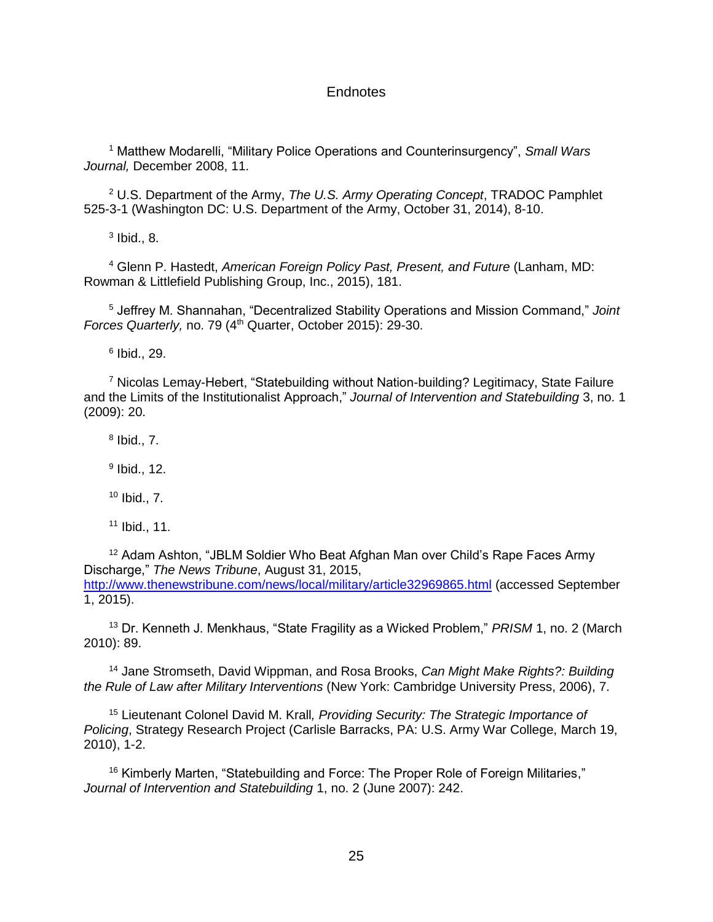# **Endnotes**

<sup>1</sup> Matthew Modarelli, "Military Police Operations and Counterinsurgency", *Small Wars Journal,* December 2008, 11.

<sup>2</sup> U.S. Department of the Army, *The U.S. Army Operating Concept*, TRADOC Pamphlet 525-3-1 (Washington DC: U.S. Department of the Army, October 31, 2014), 8-10.

 $3$  Ibid., 8.

<sup>4</sup> Glenn P. Hastedt, *American Foreign Policy Past, Present, and Future* (Lanham, MD: Rowman & Littlefield Publishing Group, Inc., 2015), 181.

<sup>5</sup> Jeffrey M. Shannahan, "Decentralized Stability Operations and Mission Command," *Joint*  Forces Quarterly, no. 79 (4<sup>th</sup> Quarter, October 2015): 29-30.

6 Ibid., 29.

<sup>7</sup> Nicolas Lemay-Hebert, "Statebuilding without Nation-building? Legitimacy, State Failure and the Limits of the Institutionalist Approach," *Journal of Intervention and Statebuilding* 3, no. 1 (2009): 20.

 $8$  Ibid., 7.

<sup>9</sup> Ibid., 12.

<sup>10</sup> Ibid., 7.

<sup>11</sup> Ibid., 11.

<sup>12</sup> Adam Ashton, "JBLM Soldier Who Beat Afghan Man over Child's Rape Faces Army Discharge," *The News Tribune*, August 31, 2015, <http://www.thenewstribune.com/news/local/military/article32969865.html> (accessed September 1, 2015).

<sup>13</sup> Dr. Kenneth J. Menkhaus, "State Fragility as a Wicked Problem," *PRISM* 1, no. 2 (March 2010): 89.

<sup>14</sup> Jane Stromseth, David Wippman, and Rosa Brooks, *Can Might Make Rights?: Building the Rule of Law after Military Interventions* (New York: Cambridge University Press, 2006), 7.

<sup>15</sup> Lieutenant Colonel David M. Krall*, Providing Security: The Strategic Importance of Policing*, Strategy Research Project (Carlisle Barracks, PA: U.S. Army War College, March 19, 2010), 1-2.

<sup>16</sup> Kimberly Marten, "Statebuilding and Force: The Proper Role of Foreign Militaries," *Journal of Intervention and Statebuilding* 1, no. 2 (June 2007): 242.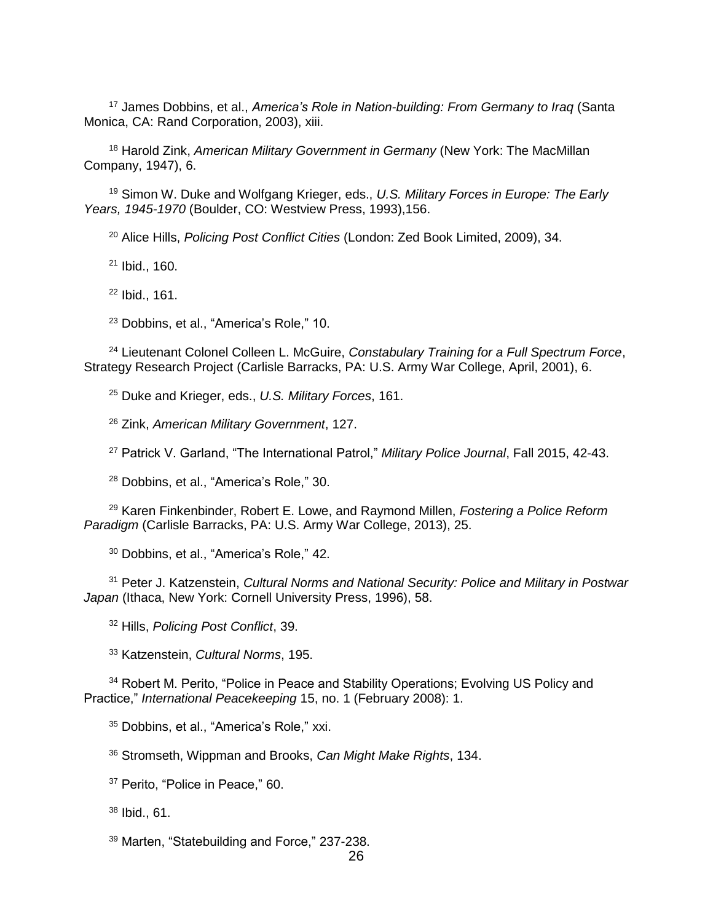James Dobbins, et al., *America's Role in Nation-building: From Germany to Iraq* (Santa Monica, CA: Rand Corporation, 2003), xiii.

 Harold Zink, *American Military Government in Germany* (New York: The MacMillan Company, 1947), 6.

 Simon W. Duke and Wolfgang Krieger, eds., *U.S. Military Forces in Europe: The Early Years, 1945-1970* (Boulder, CO: Westview Press, 1993),156.

Alice Hills, *Policing Post Conflict Cities* (London: Zed Book Limited, 2009), 34.

Ibid., 160.

Ibid., 161.

Dobbins, et al., "America's Role," 10.

 Lieutenant Colonel Colleen L. McGuire, *Constabulary Training for a Full Spectrum Force*, Strategy Research Project (Carlisle Barracks, PA: U.S. Army War College, April, 2001), 6.

Duke and Krieger, eds., *U.S. Military Forces*, 161.

Zink, *American Military Government*, 127.

Patrick V. Garland, "The International Patrol," *Military Police Journal*, Fall 2015, 42-43.

Dobbins, et al., "America's Role," 30.

 Karen Finkenbinder, Robert E. Lowe, and Raymond Millen, *Fostering a Police Reform Paradigm* (Carlisle Barracks, PA: U.S. Army War College, 2013), 25.

Dobbins, et al., "America's Role," 42.

 Peter J. Katzenstein, *Cultural Norms and National Security: Police and Military in Postwar Japan* (Ithaca, New York: Cornell University Press, 1996), 58.

Hills, *Policing Post Conflict*, 39.

Katzenstein, *Cultural Norms*, 195.

<sup>34</sup> Robert M. Perito, "Police in Peace and Stability Operations; Evolving US Policy and Practice," *International Peacekeeping* 15, no. 1 (February 2008): 1.

<sup>35</sup> Dobbins, et al., "America's Role," xxi.

Stromseth, Wippman and Brooks, *Can Might Make Rights*, 134.

<sup>37</sup> Perito, "Police in Peace," 60.

Ibid., 61.

Marten, "Statebuilding and Force," 237-238.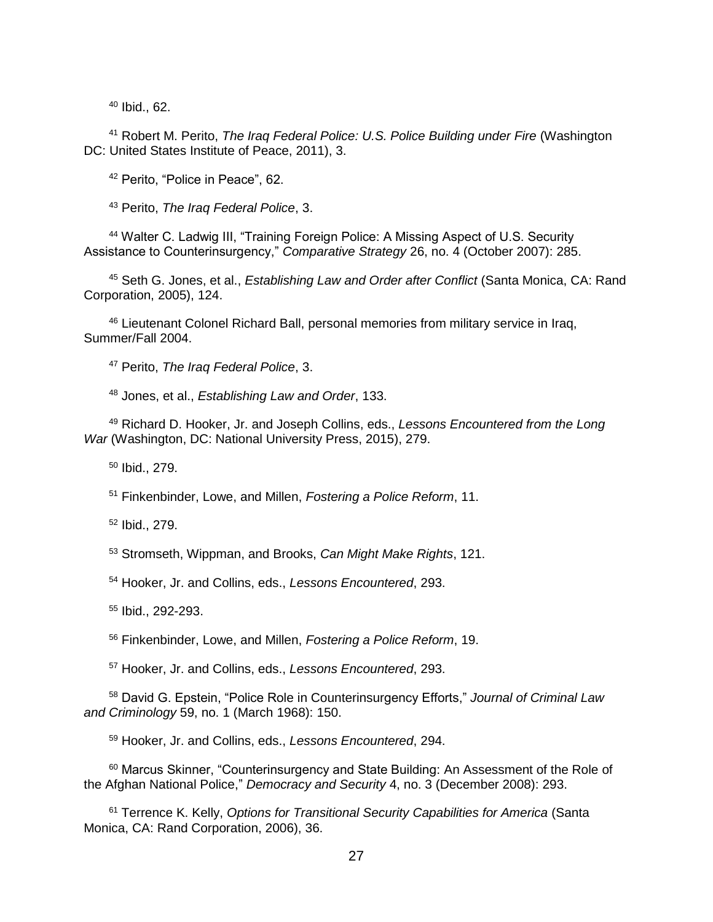Ibid., 62.

 Robert M. Perito, *The Iraq Federal Police: U.S. Police Building under Fire* (Washington DC: United States Institute of Peace, 2011), 3.

Perito, "Police in Peace", 62.

Perito, *The Iraq Federal Police*, 3.

 Walter C. Ladwig III, "Training Foreign Police: A Missing Aspect of U.S. Security Assistance to Counterinsurgency," *Comparative Strategy* 26, no. 4 (October 2007): 285.

 Seth G. Jones, et al., *Establishing Law and Order after Conflict* (Santa Monica, CA: Rand Corporation, 2005), 124.

 Lieutenant Colonel Richard Ball, personal memories from military service in Iraq, Summer/Fall 2004.

Perito, *The Iraq Federal Police*, 3.

Jones, et al., *Establishing Law and Order*, 133.

 Richard D. Hooker, Jr. and Joseph Collins, eds., *Lessons Encountered from the Long War* (Washington, DC: National University Press, 2015), 279.

Ibid., 279.

Finkenbinder, Lowe, and Millen, *Fostering a Police Reform*, 11.

Ibid., 279.

Stromseth, Wippman, and Brooks, *Can Might Make Rights*, 121.

Hooker, Jr. and Collins, eds., *Lessons Encountered*, 293.

Ibid., 292-293.

Finkenbinder, Lowe, and Millen, *Fostering a Police Reform*, 19.

Hooker, Jr. and Collins, eds., *Lessons Encountered*, 293.

 David G. Epstein, "Police Role in Counterinsurgency Efforts," *Journal of Criminal Law and Criminology* 59, no. 1 (March 1968): 150.

Hooker, Jr. and Collins, eds., *Lessons Encountered*, 294.

<sup>60</sup> Marcus Skinner, "Counterinsurgency and State Building: An Assessment of the Role of the Afghan National Police," *Democracy and Security* 4, no. 3 (December 2008): 293.

 Terrence K. Kelly, *Options for Transitional Security Capabilities for America* (Santa Monica, CA: Rand Corporation, 2006), 36.